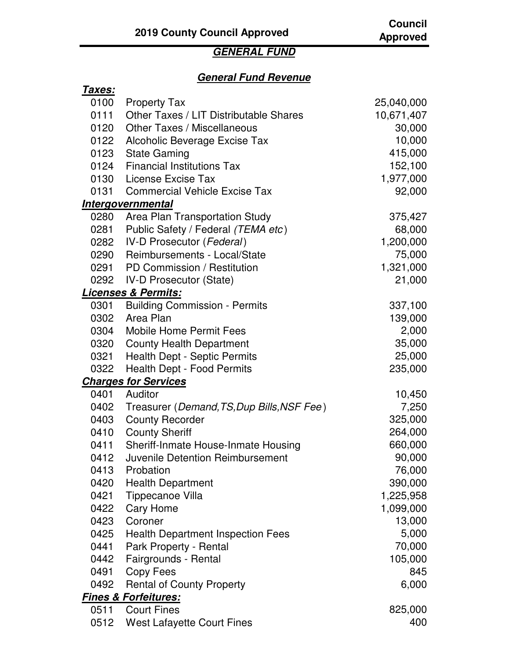## **GENERAL FUND**

## **General Fund Revenue**

| <u>Taxes:</u> |                                            |            |
|---------------|--------------------------------------------|------------|
| 0100          | <b>Property Tax</b>                        | 25,040,000 |
| 0111          | Other Taxes / LIT Distributable Shares     | 10,671,407 |
| 0120          | <b>Other Taxes / Miscellaneous</b>         | 30,000     |
| 0122          | Alcoholic Beverage Excise Tax              | 10,000     |
| 0123          | <b>State Gaming</b>                        | 415,000    |
| 0124          | <b>Financial Institutions Tax</b>          | 152,100    |
| 0130          | License Excise Tax                         | 1,977,000  |
| 0131          | <b>Commercial Vehicle Excise Tax</b>       | 92,000     |
|               | <b>Intergovernmental</b>                   |            |
| 0280          | Area Plan Transportation Study             | 375,427    |
| 0281          | Public Safety / Federal (TEMA etc)         | 68,000     |
| 0282          | <b>IV-D Prosecutor (Federal)</b>           | 1,200,000  |
| 0290          | Reimbursements - Local/State               | 75,000     |
| 0291          | PD Commission / Restitution                | 1,321,000  |
| 0292          | <b>IV-D Prosecutor (State)</b>             | 21,000     |
|               | <b>Licenses &amp; Permits:</b>             |            |
| 0301          | <b>Building Commission - Permits</b>       | 337,100    |
| 0302          | Area Plan                                  | 139,000    |
| 0304          | <b>Mobile Home Permit Fees</b>             | 2,000      |
| 0320          | <b>County Health Department</b>            | 35,000     |
| 0321          | <b>Health Dept - Septic Permits</b>        | 25,000     |
| 0322          | Health Dept - Food Permits                 | 235,000    |
|               | <b>Charges for Services</b>                |            |
| 0401          | Auditor                                    | 10,450     |
| 0402          | Treasurer (Demand, TS, Dup Bills, NSF Fee) | 7,250      |
| 0403          | <b>County Recorder</b>                     | 325,000    |
| 0410          | <b>County Sheriff</b>                      | 264,000    |
| 0411          | Sheriff-Inmate House-Inmate Housing        | 660,000    |
| 0412          | Juvenile Detention Reimbursement           | 90,000     |
| 0413          | Probation                                  | 76,000     |
| 0420          | <b>Health Department</b>                   | 390,000    |
| 0421          | Tippecanoe Villa                           | 1,225,958  |
| 0422          | Cary Home                                  | 1,099,000  |
| 0423          | Coroner                                    | 13,000     |
| 0425          | <b>Health Department Inspection Fees</b>   | 5,000      |
| 0441          | Park Property - Rental                     | 70,000     |
| 0442          | Fairgrounds - Rental                       | 105,000    |
| 0491          | Copy Fees                                  | 845        |
| 0492          | <b>Rental of County Property</b>           | 6,000      |
|               | <b>Fines &amp; Forfeitures:</b>            |            |
| 0511          | <b>Court Fines</b>                         | 825,000    |
| 0512          | <b>West Lafayette Court Fines</b>          | 400        |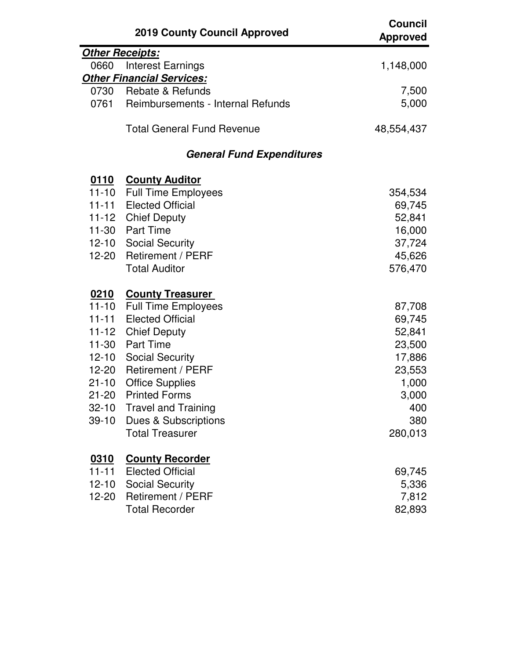|             | <b>2019 County Council Approved</b> | <b>Council</b><br><b>Approved</b> |
|-------------|-------------------------------------|-----------------------------------|
|             | <b>Other Receipts:</b>              |                                   |
| 0660        | <b>Interest Earnings</b>            | 1,148,000                         |
|             | <b>Other Financial Services:</b>    |                                   |
| 0730        | Rebate & Refunds                    | 7,500                             |
| 0761        | Reimbursements - Internal Refunds   | 5,000                             |
|             | <b>Total General Fund Revenue</b>   | 48,554,437                        |
|             | <b>General Fund Expenditures</b>    |                                   |
| <u>0110</u> | <b>County Auditor</b>               |                                   |
| 11-10       | <b>Full Time Employees</b>          | 354,534                           |
| $11 - 11$   | <b>Elected Official</b>             | 69,745                            |
|             | 11-12 Chief Deputy                  | 52,841                            |
| 11-30       | <b>Part Time</b>                    | 16,000                            |
|             | 12-10 Social Security               | 37,724                            |
| 12-20       | <b>Retirement / PERF</b>            | 45,626                            |
|             | <b>Total Auditor</b>                | 576,470                           |
| <u>0210</u> | <b>County Treasurer</b>             |                                   |
| $11 - 10$   | <b>Full Time Employees</b>          | 87,708                            |
| $11 - 11$   | <b>Elected Official</b>             | 69,745                            |
| $11 - 12$   | <b>Chief Deputy</b>                 | 52,841                            |
| $11-30$     | <b>Part Time</b>                    | 23,500                            |
| $12 - 10$   | <b>Social Security</b>              | 17,886                            |
| 12-20       | <b>Retirement / PERF</b>            | 23,553                            |
| $21 - 10$   | <b>Office Supplies</b>              | 1,000                             |
| $21 - 20$   | <b>Printed Forms</b>                | 3,000                             |
| $32 - 10$   | <b>Travel and Training</b>          | 400                               |
| $39 - 10$   | <b>Dues &amp; Subscriptions</b>     | 380                               |
|             | <b>Total Treasurer</b>              | 280,013                           |
| 0310        | <b>County Recorder</b>              |                                   |
| $11 - 11$   | <b>Elected Official</b>             | 69,745                            |
| $12 - 10$   | <b>Social Security</b>              | 5,336                             |
| 12-20       | Retirement / PERF                   | 7,812                             |
|             | <b>Total Recorder</b>               | 82,893                            |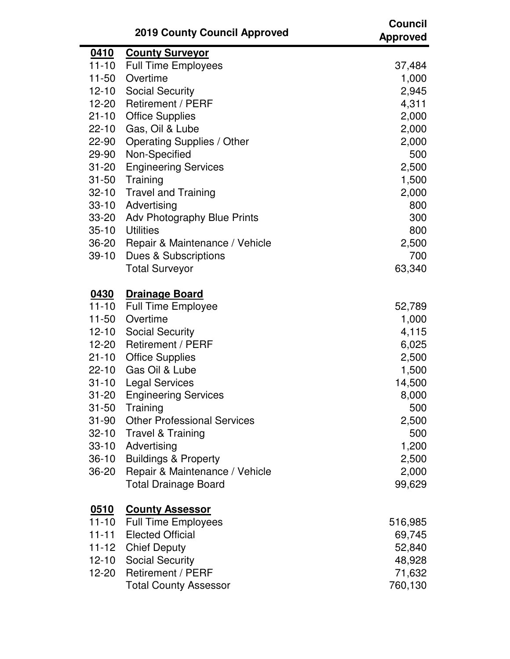|           | <b>2019 County Council Approved</b> | <b>Council</b><br><b>Approved</b> |
|-----------|-------------------------------------|-----------------------------------|
| 0410      | <b>County Surveyor</b>              |                                   |
| $11 - 10$ | <b>Full Time Employees</b>          | 37,484                            |
| 11-50     | Overtime                            | 1,000                             |
| $12 - 10$ | <b>Social Security</b>              | 2,945                             |
| 12-20     | <b>Retirement / PERF</b>            | 4,311                             |
| $21 - 10$ | <b>Office Supplies</b>              | 2,000                             |
| $22 - 10$ | Gas, Oil & Lube                     | 2,000                             |
| 22-90     | Operating Supplies / Other          | 2,000                             |
| 29-90     | Non-Specified                       | 500                               |
| $31 - 20$ | <b>Engineering Services</b>         | 2,500                             |
| $31 - 50$ | Training                            | 1,500                             |
| $32 - 10$ | <b>Travel and Training</b>          | 2,000                             |
| $33 - 10$ | Advertising                         | 800                               |
| 33-20     | Adv Photography Blue Prints         | 300                               |
| $35 - 10$ | <b>Utilities</b>                    | 800                               |
| 36-20     | Repair & Maintenance / Vehicle      | 2,500                             |
| $39-10$   | Dues & Subscriptions                | 700                               |
|           | <b>Total Surveyor</b>               | 63,340                            |
| 0430      | <b>Drainage Board</b>               |                                   |
| $11 - 10$ | <b>Full Time Employee</b>           | 52,789                            |
| $11 - 50$ | Overtime                            | 1,000                             |
| $12 - 10$ | <b>Social Security</b>              | 4,115                             |
| 12-20     | <b>Retirement / PERF</b>            | 6,025                             |
| $21 - 10$ | <b>Office Supplies</b>              | 2,500                             |
| $22 - 10$ | Gas Oil & Lube                      | 1,500                             |
| $31 - 10$ | <b>Legal Services</b>               | 14,500                            |
| $31 - 20$ | <b>Engineering Services</b>         | 8,000                             |
| $31 - 50$ | Training                            | 500                               |
| $31 - 90$ | <b>Other Professional Services</b>  | 2,500                             |
|           | 32-10 Travel & Training             | 500                               |
| $33 - 10$ | Advertising                         | 1,200                             |
| $36 - 10$ | <b>Buildings &amp; Property</b>     | 2,500                             |
| 36-20     | Repair & Maintenance / Vehicle      | 2,000                             |
|           | <b>Total Drainage Board</b>         | 99,629                            |
| 0510      | <b>County Assessor</b>              |                                   |
| 11-10     | <b>Full Time Employees</b>          | 516,985                           |
| $11 - 11$ | <b>Elected Official</b>             | 69,745                            |
| 11-12     | <b>Chief Deputy</b>                 | 52,840                            |
| $12 - 10$ | <b>Social Security</b>              | 48,928                            |
|           | 12-20 Retirement / PERF             | 71,632                            |
|           | <b>Total County Assessor</b>        | 760,130                           |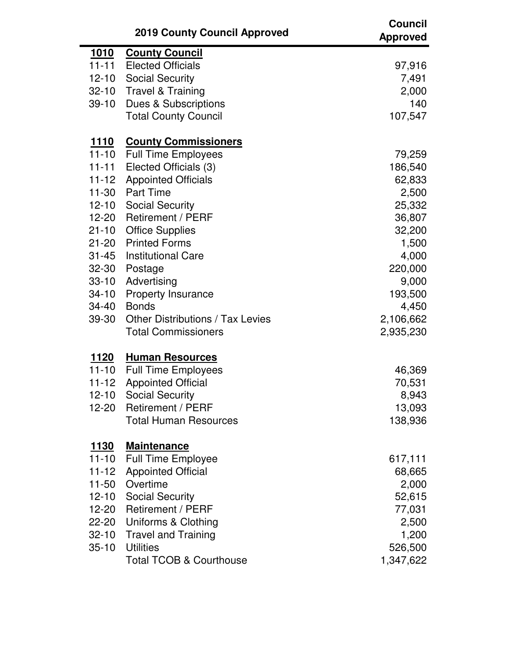|               | <b>2019 County Council Approved</b>     | <b>Council</b><br><b>Approved</b> |
|---------------|-----------------------------------------|-----------------------------------|
| <u>1010</u>   | <b>County Council</b>                   |                                   |
| $11 - 11$     | <b>Elected Officials</b>                | 97,916                            |
| $12 - 10$     | <b>Social Security</b>                  | 7,491                             |
| $32 - 10$     | <b>Travel &amp; Training</b>            | 2,000                             |
| $39-10$       | <b>Dues &amp; Subscriptions</b>         | 140                               |
|               | <b>Total County Council</b>             | 107,547                           |
| <u> 1110</u>  | <b>County Commissioners</b>             |                                   |
| $11 - 10$     | <b>Full Time Employees</b>              | 79,259                            |
| $11 - 11$     | Elected Officials (3)                   | 186,540                           |
| $11 - 12$     | <b>Appointed Officials</b>              | 62,833                            |
| $11 - 30$     | <b>Part Time</b>                        | 2,500                             |
| $12 - 10$     | <b>Social Security</b>                  | 25,332                            |
| 12-20         | <b>Retirement / PERF</b>                | 36,807                            |
| $21 - 10$     | <b>Office Supplies</b>                  | 32,200                            |
| $21 - 20$     | <b>Printed Forms</b>                    | 1,500                             |
| $31 - 45$     | <b>Institutional Care</b>               | 4,000                             |
| $32 - 30$     | Postage                                 | 220,000                           |
| $33 - 10$     | Advertising                             | 9,000                             |
| $34 - 10$     | <b>Property Insurance</b>               | 193,500                           |
| 34-40         | <b>Bonds</b>                            | 4,450                             |
| 39-30         | <b>Other Distributions / Tax Levies</b> | 2,106,662                         |
|               | <b>Total Commissioners</b>              | 2,935,230                         |
| 1120          | <b>Human Resources</b>                  |                                   |
| $11 - 10$     | <b>Full Time Employees</b>              | 46,369                            |
| $11 - 12$     | <b>Appointed Official</b>               | 70,531                            |
| $12 - 10$     | <b>Social Security</b>                  | 8,943                             |
| $12 - 20$     | <b>Retirement / PERF</b>                | 13,093                            |
|               | <b>Total Human Resources</b>            | 138,936                           |
| <u> 1130 </u> | <b>Maintenance</b>                      |                                   |
| $11 - 10$     | <b>Full Time Employee</b>               | 617,111                           |
| $11 - 12$     | <b>Appointed Official</b>               | 68,665                            |
| $11 - 50$     | Overtime                                | 2,000                             |
| $12 - 10$     | <b>Social Security</b>                  | 52,615                            |
| 12-20         | <b>Retirement / PERF</b>                | 77,031                            |
| 22-20         | Uniforms & Clothing                     | 2,500                             |
| $32 - 10$     | <b>Travel and Training</b>              | 1,200                             |
| $35 - 10$     | <b>Utilities</b>                        | 526,500                           |
|               | <b>Total TCOB &amp; Courthouse</b>      | 1,347,622                         |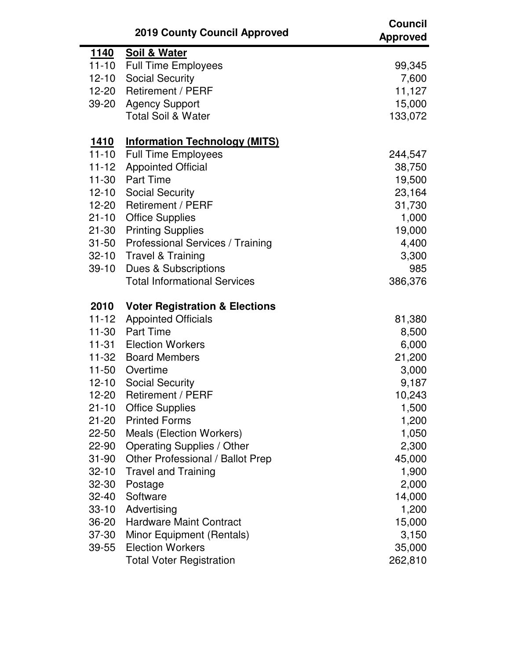|               | <b>2019 County Council Approved</b>       | <b>Council</b><br><b>Approved</b> |
|---------------|-------------------------------------------|-----------------------------------|
| <u> 1140 </u> | Soil & Water                              |                                   |
| $11 - 10$     | <b>Full Time Employees</b>                | 99,345                            |
| $12 - 10$     | <b>Social Security</b>                    | 7,600                             |
| $12 - 20$     | Retirement / PERF                         | 11,127                            |
| 39-20         | <b>Agency Support</b>                     | 15,000                            |
|               | <b>Total Soil &amp; Water</b>             | 133,072                           |
| <u> 1410 </u> | <b>Information Technology (MITS)</b>      |                                   |
| $11 - 10$     | <b>Full Time Employees</b>                | 244,547                           |
| $11 - 12$     | <b>Appointed Official</b>                 | 38,750                            |
| $11 - 30$     | <b>Part Time</b>                          | 19,500                            |
| $12 - 10$     | <b>Social Security</b>                    | 23,164                            |
| 12-20         | <b>Retirement / PERF</b>                  | 31,730                            |
| $21 - 10$     | <b>Office Supplies</b>                    | 1,000                             |
| $21 - 30$     | <b>Printing Supplies</b>                  | 19,000                            |
| $31 - 50$     | Professional Services / Training          | 4,400                             |
| $32 - 10$     | <b>Travel &amp; Training</b>              | 3,300                             |
| $39-10$       | <b>Dues &amp; Subscriptions</b>           | 985                               |
|               | <b>Total Informational Services</b>       | 386,376                           |
| 2010          | <b>Voter Registration &amp; Elections</b> |                                   |
| $11 - 12$     | <b>Appointed Officials</b>                | 81,380                            |
| 11-30         | <b>Part Time</b>                          | 8,500                             |
| $11-31$       | <b>Election Workers</b>                   | 6,000                             |
|               | 11-32 Board Members                       | 21,200                            |
| $11 - 50$     | Overtime                                  | 3,000                             |
| $12 - 10$     | <b>Social Security</b>                    | 9,187                             |
| 12-20         | Retirement / PERF                         | 10,243                            |
| $21 - 10$     | <b>Office Supplies</b>                    | 1,500                             |
| $21 - 20$     | <b>Printed Forms</b>                      | 1,200                             |
| $22 - 50$     | Meals (Election Workers)                  | 1,050                             |
| 22-90         | Operating Supplies / Other                | 2,300                             |
| $31 - 90$     | Other Professional / Ballot Prep          | 45,000                            |
| $32 - 10$     | <b>Travel and Training</b>                | 1,900                             |
| 32-30         | Postage                                   | 2,000                             |
| $32 - 40$     | Software                                  | 14,000                            |
| $33 - 10$     | Advertising                               | 1,200                             |
| $36 - 20$     | <b>Hardware Maint Contract</b>            | 15,000                            |
| 37-30         | Minor Equipment (Rentals)                 | 3,150                             |
| 39-55         | <b>Election Workers</b>                   | 35,000                            |
|               | <b>Total Voter Registration</b>           | 262,810                           |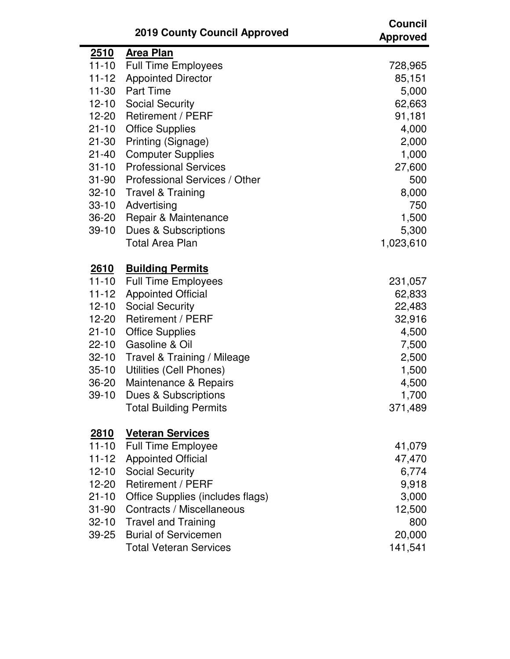|               | <b>2019 County Council Approved</b> | <b>Council</b><br><b>Approved</b> |
|---------------|-------------------------------------|-----------------------------------|
| <u> 2510 </u> | <b>Area Plan</b>                    |                                   |
| $11 - 10$     | <b>Full Time Employees</b>          | 728,965                           |
| $11 - 12$     | <b>Appointed Director</b>           | 85,151                            |
| $11 - 30$     | <b>Part Time</b>                    | 5,000                             |
| $12 - 10$     | <b>Social Security</b>              | 62,663                            |
| 12-20         | <b>Retirement / PERF</b>            | 91,181                            |
| $21 - 10$     | <b>Office Supplies</b>              | 4,000                             |
| $21 - 30$     | Printing (Signage)                  | 2,000                             |
| $21 - 40$     | <b>Computer Supplies</b>            | 1,000                             |
| $31 - 10$     | <b>Professional Services</b>        | 27,600                            |
| $31 - 90$     | Professional Services / Other       | 500                               |
| $32 - 10$     | <b>Travel &amp; Training</b>        | 8,000                             |
| $33 - 10$     | Advertising                         | 750                               |
| $36 - 20$     | Repair & Maintenance                | 1,500                             |
| $39 - 10$     | Dues & Subscriptions                | 5,300                             |
|               | <b>Total Area Plan</b>              | 1,023,610                         |
| <u>2610</u>   | <b>Building Permits</b>             |                                   |
| $11 - 10$     | <b>Full Time Employees</b>          | 231,057                           |
| $11 - 12$     | <b>Appointed Official</b>           | 62,833                            |
| $12 - 10$     | <b>Social Security</b>              | 22,483                            |
| 12-20         | <b>Retirement / PERF</b>            | 32,916                            |
| $21 - 10$     | <b>Office Supplies</b>              | 4,500                             |
| $22 - 10$     | Gasoline & Oil                      | 7,500                             |
| $32 - 10$     | Travel & Training / Mileage         | 2,500                             |
| $35 - 10$     | Utilities (Cell Phones)             | 1,500                             |
| 36-20         | Maintenance & Repairs               | 4,500                             |
| $39-10$       | <b>Dues &amp; Subscriptions</b>     | 1,700                             |
|               | <b>Total Building Permits</b>       | 371,489                           |
| <u> 2810 </u> | <b>Veteran Services</b>             |                                   |
| $11 - 10$     | <b>Full Time Employee</b>           | 41,079                            |
| $11 - 12$     | <b>Appointed Official</b>           | 47,470                            |
| $12 - 10$     | <b>Social Security</b>              | 6,774                             |
| 12-20         | Retirement / PERF                   | 9,918                             |
| $21 - 10$     | Office Supplies (includes flags)    | 3,000                             |
| $31 - 90$     | Contracts / Miscellaneous           | 12,500                            |
| $32 - 10$     | <b>Travel and Training</b>          | 800                               |
| 39-25         | <b>Burial of Servicemen</b>         | 20,000                            |
|               | <b>Total Veteran Services</b>       | 141,541                           |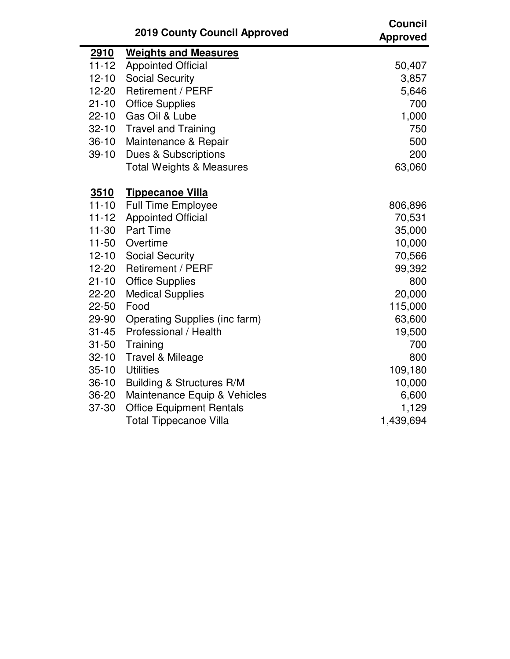|             | <b>2019 County Council Approved</b>  | <b>Council</b><br><b>Approved</b> |
|-------------|--------------------------------------|-----------------------------------|
| 2910        | <b>Weights and Measures</b>          |                                   |
| $11 - 12$   | <b>Appointed Official</b>            | 50,407                            |
| $12 - 10$   | <b>Social Security</b>               | 3,857                             |
| $12 - 20$   | <b>Retirement / PERF</b>             | 5,646                             |
| $21 - 10$   | <b>Office Supplies</b>               | 700                               |
| $22 - 10$   | Gas Oil & Lube                       | 1,000                             |
| $32 - 10$   | <b>Travel and Training</b>           | 750                               |
| $36-10$     | Maintenance & Repair                 | 500                               |
| $39-10$     | <b>Dues &amp; Subscriptions</b>      | 200                               |
|             | <b>Total Weights &amp; Measures</b>  | 63,060                            |
| <u>3510</u> | <b>Tippecanoe Villa</b>              |                                   |
| $11 - 10$   | <b>Full Time Employee</b>            | 806,896                           |
| $11 - 12$   | <b>Appointed Official</b>            | 70,531                            |
| $11-30$     | <b>Part Time</b>                     | 35,000                            |
| $11 - 50$   | Overtime                             | 10,000                            |
| $12 - 10$   | <b>Social Security</b>               | 70,566                            |
| $12 - 20$   | <b>Retirement / PERF</b>             | 99,392                            |
| $21 - 10$   | <b>Office Supplies</b>               | 800                               |
| 22-20       | <b>Medical Supplies</b>              | 20,000                            |
| $22 - 50$   | Food                                 | 115,000                           |
| 29-90       | <b>Operating Supplies (inc farm)</b> | 63,600                            |
| $31 - 45$   | Professional / Health                | 19,500                            |
| $31 - 50$   | Training                             | 700                               |
| $32 - 10$   | Travel & Mileage                     | 800                               |
| $35 - 10$   | <b>Utilities</b>                     | 109,180                           |
| $36-10$     | <b>Building &amp; Structures R/M</b> | 10,000                            |
| $36 - 20$   | Maintenance Equip & Vehicles         | 6,600                             |
| 37-30       | <b>Office Equipment Rentals</b>      | 1,129                             |
|             | <b>Total Tippecanoe Villa</b>        | 1,439,694                         |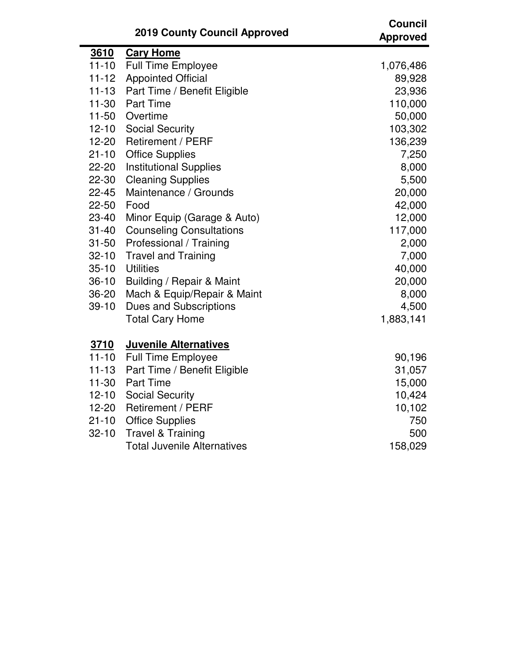|           | <b>2019 County Council Approved</b> | <b>Council</b><br><b>Approved</b> |
|-----------|-------------------------------------|-----------------------------------|
| 3610      | <b>Cary Home</b>                    |                                   |
| $11 - 10$ | <b>Full Time Employee</b>           | 1,076,486                         |
| $11 - 12$ | <b>Appointed Official</b>           | 89,928                            |
| $11 - 13$ | Part Time / Benefit Eligible        | 23,936                            |
| $11 - 30$ | <b>Part Time</b>                    | 110,000                           |
| $11 - 50$ | Overtime                            | 50,000                            |
| $12 - 10$ | <b>Social Security</b>              | 103,302                           |
| $12 - 20$ | <b>Retirement / PERF</b>            | 136,239                           |
| $21 - 10$ | <b>Office Supplies</b>              | 7,250                             |
| 22-20     | <b>Institutional Supplies</b>       | 8,000                             |
| 22-30     | <b>Cleaning Supplies</b>            | 5,500                             |
| $22 - 45$ | Maintenance / Grounds               | 20,000                            |
| 22-50     | Food                                | 42,000                            |
| 23-40     | Minor Equip (Garage & Auto)         | 12,000                            |
| $31 - 40$ | <b>Counseling Consultations</b>     | 117,000                           |
| $31 - 50$ | Professional / Training             | 2,000                             |
| $32 - 10$ | <b>Travel and Training</b>          | 7,000                             |
| $35 - 10$ | <b>Utilities</b>                    | 40,000                            |
| $36 - 10$ | Building / Repair & Maint           | 20,000                            |
| 36-20     | Mach & Equip/Repair & Maint         | 8,000                             |
| $39 - 10$ | <b>Dues and Subscriptions</b>       | 4,500                             |
|           | <b>Total Cary Home</b>              | 1,883,141                         |
| 3710      | <b>Juvenile Alternatives</b>        |                                   |
| $11 - 10$ | <b>Full Time Employee</b>           | 90,196                            |
| $11 - 13$ | Part Time / Benefit Eligible        | 31,057                            |
| $11 - 30$ | <b>Part Time</b>                    | 15,000                            |
| $12 - 10$ | <b>Social Security</b>              | 10,424                            |
| $12 - 20$ | Retirement / PERF                   | 10,102                            |
| $21 - 10$ | <b>Office Supplies</b>              | 750                               |
| $32 - 10$ | <b>Travel &amp; Training</b>        | 500                               |
|           | <b>Total Juvenile Alternatives</b>  | 158,029                           |

 $\blacksquare$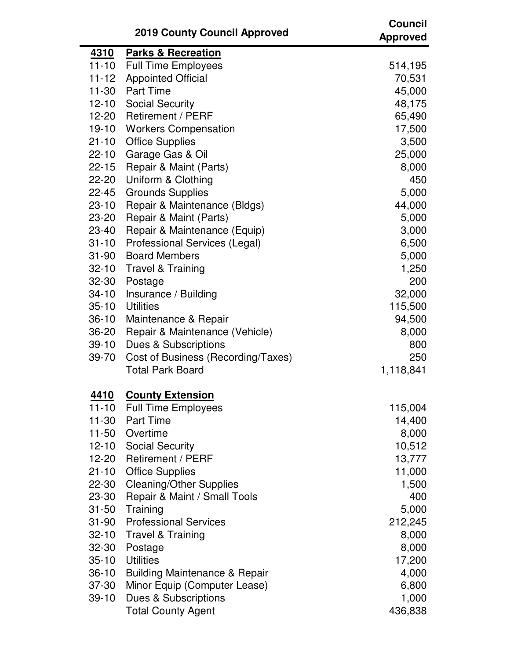|             | <b>2019 County Council Approved</b>      | <b>Council</b><br><b>Approved</b> |
|-------------|------------------------------------------|-----------------------------------|
| <u>4310</u> | <b>Parks &amp; Recreation</b>            |                                   |
| $11 - 10$   | <b>Full Time Employees</b>               | 514,195                           |
| $11 - 12$   | <b>Appointed Official</b>                | 70,531                            |
| $11 - 30$   | <b>Part Time</b>                         | 45,000                            |
| $12 - 10$   | <b>Social Security</b>                   | 48,175                            |
| 12-20       | <b>Retirement / PERF</b>                 | 65,490                            |
| $19 - 10$   | <b>Workers Compensation</b>              | 17,500                            |
| $21 - 10$   | <b>Office Supplies</b>                   | 3,500                             |
| $22 - 10$   | Garage Gas & Oil                         | 25,000                            |
| $22 - 15$   | Repair & Maint (Parts)                   | 8,000                             |
| 22-20       | Uniform & Clothing                       | 450                               |
| $22 - 45$   | <b>Grounds Supplies</b>                  | 5,000                             |
| $23 - 10$   | Repair & Maintenance (Bldgs)             | 44,000                            |
| 23-20       | Repair & Maint (Parts)                   | 5,000                             |
| 23-40       | Repair & Maintenance (Equip)             | 3,000                             |
| $31 - 10$   | Professional Services (Legal)            | 6,500                             |
| $31 - 90$   | <b>Board Members</b>                     | 5,000                             |
| $32 - 10$   | Travel & Training                        | 1,250                             |
| $32 - 30$   | Postage                                  | 200                               |
| $34 - 10$   | Insurance / Building                     | 32,000                            |
| $35 - 10$   | <b>Utilities</b>                         | 115,500                           |
| $36 - 10$   | Maintenance & Repair                     | 94,500                            |
| 36-20       | Repair & Maintenance (Vehicle)           | 8,000                             |
| $39-10$     | Dues & Subscriptions                     | 800                               |
| 39-70       | Cost of Business (Recording/Taxes)       | 250                               |
|             | <b>Total Park Board</b>                  | 1,118,841                         |
| 4410        | <b>County Extension</b>                  |                                   |
| $11 - 10$   | <b>Full Time Employees</b>               | 115,004                           |
| $11 - 30$   | <b>Part Time</b>                         | 14,400                            |
| $11 - 50$   | Overtime                                 | 8,000                             |
| $12 - 10$   | <b>Social Security</b>                   | 10,512                            |
| 12-20       | <b>Retirement / PERF</b>                 | 13,777                            |
| $21 - 10$   | <b>Office Supplies</b>                   | 11,000                            |
| 22-30       | <b>Cleaning/Other Supplies</b>           | 1,500                             |
| 23-30       | Repair & Maint / Small Tools             | 400                               |
| $31 - 50$   | Training                                 | 5,000                             |
| $31 - 90$   | <b>Professional Services</b>             | 212,245                           |
| $32 - 10$   | <b>Travel &amp; Training</b>             | 8,000                             |
| $32 - 30$   | Postage                                  | 8,000                             |
| $35 - 10$   | <b>Utilities</b>                         | 17,200                            |
| $36 - 10$   | <b>Building Maintenance &amp; Repair</b> | 4,000                             |
| 37-30       | Minor Equip (Computer Lease)             | 6,800                             |
| $39-10$     | Dues & Subscriptions                     | 1,000                             |
|             | <b>Total County Agent</b>                | 436,838                           |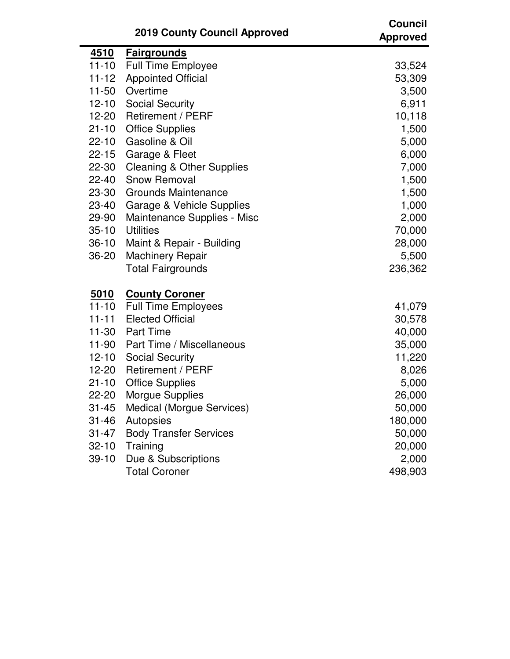|             | <b>2019 County Council Approved</b>  | <b>Council</b><br><b>Approved</b> |
|-------------|--------------------------------------|-----------------------------------|
| <u>4510</u> | <b>Fairgrounds</b>                   |                                   |
| $11 - 10$   | <b>Full Time Employee</b>            | 33,524                            |
| $11 - 12$   | <b>Appointed Official</b>            | 53,309                            |
| $11 - 50$   | Overtime                             | 3,500                             |
| $12 - 10$   | <b>Social Security</b>               | 6,911                             |
| $12 - 20$   | <b>Retirement / PERF</b>             | 10,118                            |
| $21 - 10$   | <b>Office Supplies</b>               | 1,500                             |
| $22 - 10$   | Gasoline & Oil                       | 5,000                             |
| $22 - 15$   | Garage & Fleet                       | 6,000                             |
| 22-30       | <b>Cleaning &amp; Other Supplies</b> | 7,000                             |
| $22 - 40$   | <b>Snow Removal</b>                  | 1,500                             |
| 23-30       | <b>Grounds Maintenance</b>           | 1,500                             |
| 23-40       | Garage & Vehicle Supplies            | 1,000                             |
| 29-90       | Maintenance Supplies - Misc          | 2,000                             |
| $35 - 10$   | <b>Utilities</b>                     | 70,000                            |
| $36-10$     | Maint & Repair - Building            | 28,000                            |
| 36-20       | <b>Machinery Repair</b>              | 5,500                             |
|             | <b>Total Fairgrounds</b>             | 236,362                           |
| <u>5010</u> | <b>County Coroner</b>                |                                   |
| $11 - 10$   | <b>Full Time Employees</b>           | 41,079                            |
| $11 - 11$   | <b>Elected Official</b>              | 30,578                            |
| $11 - 30$   | <b>Part Time</b>                     | 40,000                            |
| 11-90       | Part Time / Miscellaneous            | 35,000                            |
| $12 - 10$   | <b>Social Security</b>               | 11,220                            |
| 12-20       | <b>Retirement / PERF</b>             | 8,026                             |
| $21 - 10$   | <b>Office Supplies</b>               | 5,000                             |
| 22-20       | <b>Morgue Supplies</b>               | 26,000                            |
| $31 - 45$   | Medical (Morgue Services)            | 50,000                            |
| $31 - 46$   | Autopsies                            | 180,000                           |
| 31-47       | <b>Body Transfer Services</b>        | 50,000                            |
| $32 - 10$   | Training                             | 20,000                            |
| $39-10$     | Due & Subscriptions                  | 2,000                             |
|             | <b>Total Coroner</b>                 | 498,903                           |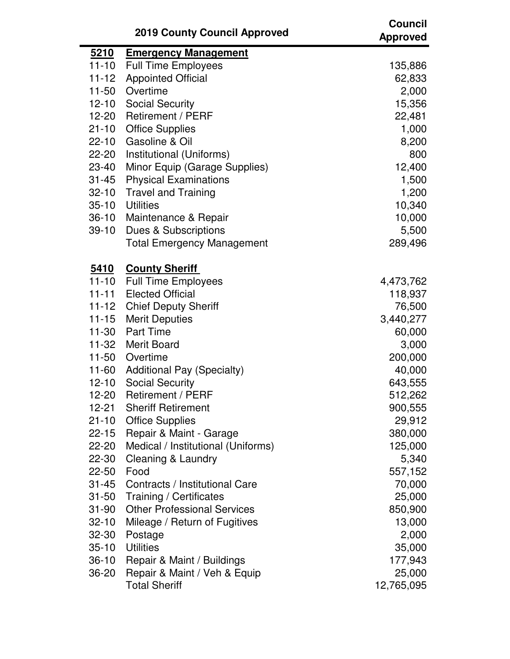|                        | <b>2019 County Council Approved</b>            | <b>Council</b><br><b>Approved</b> |
|------------------------|------------------------------------------------|-----------------------------------|
| <u>5210</u>            | <b>Emergency Management</b>                    |                                   |
| $11 - 10$              | <b>Full Time Employees</b>                     | 135,886                           |
| $11 - 12$              | <b>Appointed Official</b>                      | 62,833                            |
| $11 - 50$              | Overtime                                       | 2,000                             |
| $12 - 10$              | <b>Social Security</b>                         | 15,356                            |
| 12-20                  | <b>Retirement / PERF</b>                       | 22,481                            |
| $21 - 10$              | <b>Office Supplies</b>                         | 1,000                             |
| $22 - 10$              | Gasoline & Oil                                 | 8,200                             |
| 22-20                  | Institutional (Uniforms)                       | 800                               |
| 23-40                  | Minor Equip (Garage Supplies)                  | 12,400                            |
| $31 - 45$              | <b>Physical Examinations</b>                   | 1,500                             |
| $32 - 10$              | <b>Travel and Training</b><br><b>Utilities</b> | 1,200                             |
| $35 - 10$<br>$36-10$   |                                                | 10,340<br>10,000                  |
| $39 - 10$              | Maintenance & Repair<br>Dues & Subscriptions   | 5,500                             |
|                        | <b>Total Emergency Management</b>              | 289,496                           |
|                        |                                                |                                   |
| <u>5410</u>            | <b>County Sheriff</b>                          |                                   |
| $11 - 10$              | <b>Full Time Employees</b>                     | 4,473,762                         |
| $11 - 11$              | <b>Elected Official</b>                        | 118,937                           |
| $11 - 12$              | <b>Chief Deputy Sheriff</b>                    | 76,500                            |
| $11 - 15$              | <b>Merit Deputies</b>                          | 3,440,277                         |
| $11 - 30$              | <b>Part Time</b>                               | 60,000                            |
| 11-32                  | Merit Board                                    | 3,000                             |
| $11 - 50$              | Overtime                                       | 200,000                           |
| 11-60                  | <b>Additional Pay (Specialty)</b>              | 40,000                            |
| $12 - 10$              | <b>Social Security</b>                         | 643,555                           |
| 12-20                  | Retirement / PERF                              | 512,262                           |
| $12 - 21$              | <b>Sheriff Retirement</b>                      | 900,555                           |
| $21 - 10$              | <b>Office Supplies</b>                         | 29,912                            |
| $22 - 15$              | Repair & Maint - Garage                        | 380,000                           |
| 22-20                  | Medical / Institutional (Uniforms)             | 125,000                           |
| 22-30                  | Cleaning & Laundry<br>Food                     | 5,340                             |
| $22 - 50$<br>$31 - 45$ | Contracts / Institutional Care                 | 557,152<br>70,000                 |
| $31 - 50$              | Training / Certificates                        | 25,000                            |
| $31 - 90$              | <b>Other Professional Services</b>             | 850,900                           |
| $32 - 10$              | Mileage / Return of Fugitives                  | 13,000                            |
| 32-30                  | Postage                                        | 2,000                             |
| $35 - 10$              | <b>Utilities</b>                               | 35,000                            |
| $36-10$                | Repair & Maint / Buildings                     | 177,943                           |
| $36 - 20$              | Repair & Maint / Veh & Equip                   | 25,000                            |
|                        | <b>Total Sheriff</b>                           | 12,765,095                        |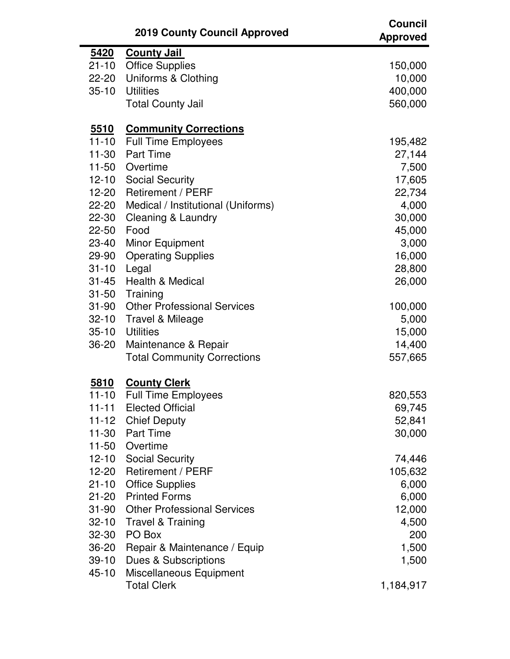|             | <b>2019 County Council Approved</b> | <b>Council</b><br><b>Approved</b> |
|-------------|-------------------------------------|-----------------------------------|
| <u>5420</u> | <b>County Jail</b>                  |                                   |
| $21 - 10$   | <b>Office Supplies</b>              | 150,000                           |
| 22-20       | Uniforms & Clothing                 | 10,000                            |
| $35 - 10$   | <b>Utilities</b>                    | 400,000                           |
|             | <b>Total County Jail</b>            | 560,000                           |
| <u>5510</u> | <b>Community Corrections</b>        |                                   |
| $11 - 10$   | <b>Full Time Employees</b>          | 195,482                           |
| $11 - 30$   | <b>Part Time</b>                    | 27,144                            |
| $11 - 50$   | Overtime                            | 7,500                             |
| $12 - 10$   | <b>Social Security</b>              | 17,605                            |
| $12 - 20$   | <b>Retirement / PERF</b>            | 22,734                            |
| 22-20       | Medical / Institutional (Uniforms)  | 4,000                             |
| 22-30       | Cleaning & Laundry                  | 30,000                            |
| $22 - 50$   | Food                                | 45,000                            |
| 23-40       | <b>Minor Equipment</b>              | 3,000                             |
| 29-90       | <b>Operating Supplies</b>           | 16,000                            |
| $31 - 10$   | Legal                               | 28,800                            |
| $31 - 45$   | <b>Health &amp; Medical</b>         | 26,000                            |
| $31 - 50$   | Training                            |                                   |
| $31 - 90$   | <b>Other Professional Services</b>  | 100,000                           |
| $32 - 10$   | Travel & Mileage                    | 5,000                             |
| $35 - 10$   | <b>Utilities</b>                    | 15,000                            |
| 36-20       | Maintenance & Repair                | 14,400                            |
|             | <b>Total Community Corrections</b>  | 557,665                           |
| 5810        | <b>County Clerk</b>                 |                                   |
| $11 - 10$   | <b>Full Time Employees</b>          | 820,553                           |
| $11 - 11$   | <b>Elected Official</b>             | 69,745                            |
| $11 - 12$   | <b>Chief Deputy</b>                 | 52,841                            |
| $11 - 30$   | <b>Part Time</b>                    | 30,000                            |
| $11 - 50$   | Overtime                            |                                   |
| $12 - 10$   | <b>Social Security</b>              | 74,446                            |
| $12 - 20$   | Retirement / PERF                   | 105,632                           |
| $21 - 10$   | <b>Office Supplies</b>              | 6,000                             |
| $21 - 20$   | <b>Printed Forms</b>                | 6,000                             |
| $31 - 90$   | <b>Other Professional Services</b>  | 12,000                            |
| $32 - 10$   | <b>Travel &amp; Training</b>        | 4,500                             |
| 32-30       | PO Box                              | 200                               |
| 36-20       | Repair & Maintenance / Equip        | 1,500                             |
| $39-10$     | <b>Dues &amp; Subscriptions</b>     | 1,500                             |
| $45 - 10$   | Miscellaneous Equipment             |                                   |
|             | <b>Total Clerk</b>                  | 1,184,917                         |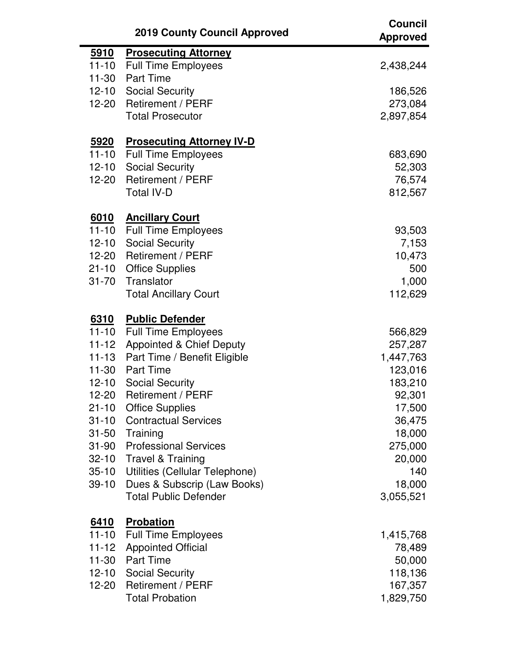|             | <b>2019 County Council Approved</b> | <b>Council</b><br><b>Approved</b> |
|-------------|-------------------------------------|-----------------------------------|
| <u>5910</u> | <b>Prosecuting Attorney</b>         |                                   |
| $11 - 10$   | <b>Full Time Employees</b>          | 2,438,244                         |
| $11-30$     | <b>Part Time</b>                    |                                   |
| $12 - 10$   | <b>Social Security</b>              | 186,526                           |
| $12 - 20$   | <b>Retirement / PERF</b>            | 273,084                           |
|             | <b>Total Prosecutor</b>             | 2,897,854                         |
| 5920        | <b>Prosecuting Attorney IV-D</b>    |                                   |
| $11 - 10$   | <b>Full Time Employees</b>          | 683,690                           |
| $12 - 10$   | <b>Social Security</b>              | 52,303                            |
| $12 - 20$   | <b>Retirement / PERF</b>            | 76,574                            |
|             | <b>Total IV-D</b>                   | 812,567                           |
| <u>6010</u> | <b>Ancillary Court</b>              |                                   |
| $11 - 10$   | <b>Full Time Employees</b>          | 93,503                            |
| $12 - 10$   | <b>Social Security</b>              | 7,153                             |
| $12 - 20$   | <b>Retirement / PERF</b>            | 10,473                            |
| $21 - 10$   | <b>Office Supplies</b>              | 500                               |
| $31 - 70$   | Translator                          | 1,000                             |
|             | <b>Total Ancillary Court</b>        | 112,629                           |
| 6310        | <b>Public Defender</b>              |                                   |
| $11 - 10$   | <b>Full Time Employees</b>          | 566,829                           |
| $11 - 12$   | <b>Appointed &amp; Chief Deputy</b> | 257,287                           |
| $11 - 13$   | Part Time / Benefit Eligible        | 1,447,763                         |
| $11 - 30$   | <b>Part Time</b>                    | 123,016                           |
| $12 - 10$   | <b>Social Security</b>              | 183,210                           |
| 12-20       | <b>Retirement / PERF</b>            | 92,301                            |
| $21 - 10$   | <b>Office Supplies</b>              | 17,500                            |
| $31 - 10$   | <b>Contractual Services</b>         | 36,475                            |
| $31 - 50$   | Training                            | 18,000                            |
| $31 - 90$   | <b>Professional Services</b>        | 275,000                           |
| $32 - 10$   | <b>Travel &amp; Training</b>        | 20,000                            |
| $35 - 10$   | Utilities (Cellular Telephone)      | 140                               |
| $39-10$     | Dues & Subscrip (Law Books)         | 18,000                            |
|             | <b>Total Public Defender</b>        | 3,055,521                         |
| <u>6410</u> | <b>Probation</b>                    |                                   |
| $11 - 10$   | <b>Full Time Employees</b>          | 1,415,768                         |
| $11 - 12$   | <b>Appointed Official</b>           | 78,489                            |
| $11 - 30$   | <b>Part Time</b>                    | 50,000                            |
| $12 - 10$   | <b>Social Security</b>              | 118,136                           |
| 12-20       | <b>Retirement / PERF</b>            | 167,357                           |
|             | <b>Total Probation</b>              | 1,829,750                         |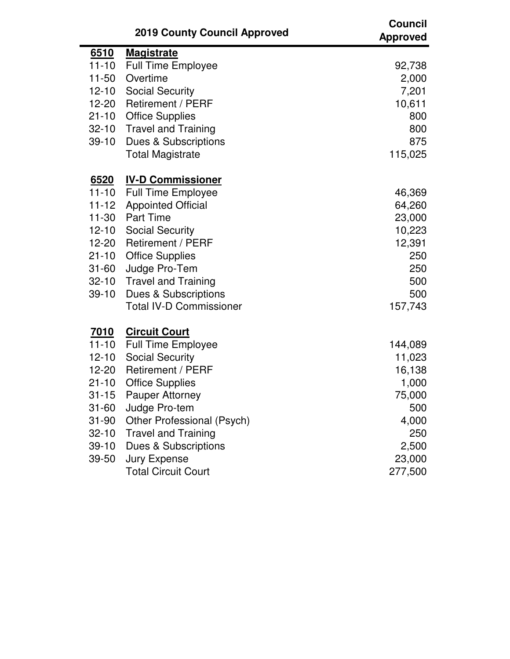|             | <b>2019 County Council Approved</b> | <b>Council</b><br><b>Approved</b> |
|-------------|-------------------------------------|-----------------------------------|
| <u>6510</u> | <b>Magistrate</b>                   |                                   |
| $11 - 10$   | <b>Full Time Employee</b>           | 92,738                            |
| $11 - 50$   | Overtime                            | 2,000                             |
| $12 - 10$   | <b>Social Security</b>              | 7,201                             |
| $12 - 20$   | <b>Retirement / PERF</b>            | 10,611                            |
| $21 - 10$   | <b>Office Supplies</b>              | 800                               |
| $32 - 10$   | <b>Travel and Training</b>          | 800                               |
| $39-10$     | Dues & Subscriptions                | 875                               |
|             | <b>Total Magistrate</b>             | 115,025                           |
| <u>6520</u> | <b>IV-D Commissioner</b>            |                                   |
| $11 - 10$   | <b>Full Time Employee</b>           | 46,369                            |
| $11 - 12$   | <b>Appointed Official</b>           | 64,260                            |
|             | 11-30 Part Time                     | 23,000                            |
| $12 - 10$   | <b>Social Security</b>              | 10,223                            |
| 12-20       | <b>Retirement / PERF</b>            | 12,391                            |
| $21 - 10$   | <b>Office Supplies</b>              | 250                               |
| $31 - 60$   | Judge Pro-Tem                       | 250                               |
| $32 - 10$   | <b>Travel and Training</b>          | 500                               |
| $39-10$     | Dues & Subscriptions                | 500                               |
|             | <b>Total IV-D Commissioner</b>      | 157,743                           |
| <u>7010</u> | <b>Circuit Court</b>                |                                   |
| $11 - 10$   | <b>Full Time Employee</b>           | 144,089                           |
| $12 - 10$   | <b>Social Security</b>              | 11,023                            |
| 12-20       | <b>Retirement / PERF</b>            | 16,138                            |
| $21 - 10$   | <b>Office Supplies</b>              | 1,000                             |
| $31 - 15$   | <b>Pauper Attorney</b>              | 75,000                            |
| $31 - 60$   | Judge Pro-tem                       | 500                               |
| $31 - 90$   | Other Professional (Psych)          | 4,000                             |
| $32 - 10$   | <b>Travel and Training</b>          | 250                               |
| $39 - 10$   | Dues & Subscriptions                | 2,500                             |
| 39-50       | <b>Jury Expense</b>                 | 23,000                            |
|             | <b>Total Circuit Court</b>          | 277,500                           |

 $\blacksquare$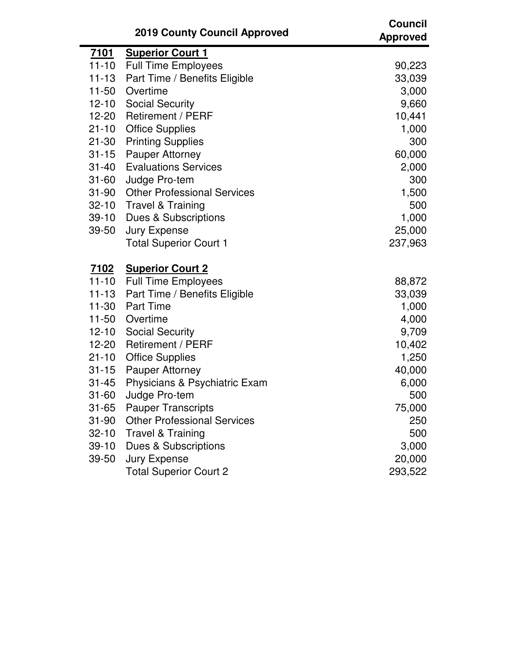|             | <b>2019 County Council Approved</b> | <b>Council</b><br><b>Approved</b> |
|-------------|-------------------------------------|-----------------------------------|
| <u>7101</u> | <b>Superior Court 1</b>             |                                   |
| $11 - 10$   | <b>Full Time Employees</b>          | 90,223                            |
| $11 - 13$   | Part Time / Benefits Eligible       | 33,039                            |
| $11 - 50$   | Overtime                            | 3,000                             |
| $12 - 10$   | <b>Social Security</b>              | 9,660                             |
| 12-20       | <b>Retirement / PERF</b>            | 10,441                            |
| $21 - 10$   | <b>Office Supplies</b>              | 1,000                             |
| $21 - 30$   | <b>Printing Supplies</b>            | 300                               |
| $31 - 15$   | <b>Pauper Attorney</b>              | 60,000                            |
| $31 - 40$   | <b>Evaluations Services</b>         | 2,000                             |
| $31 - 60$   | Judge Pro-tem                       | 300                               |
| $31 - 90$   | <b>Other Professional Services</b>  | 1,500                             |
| $32 - 10$   | <b>Travel &amp; Training</b>        | 500                               |
| $39-10$     | Dues & Subscriptions                | 1,000                             |
| 39-50       | <b>Jury Expense</b>                 | 25,000                            |
|             | <b>Total Superior Court 1</b>       | 237,963                           |
| <u>7102</u> | <b>Superior Court 2</b>             |                                   |
| $11 - 10$   | <b>Full Time Employees</b>          | 88,872                            |
| $11 - 13$   | Part Time / Benefits Eligible       | 33,039                            |
| $11 - 30$   | <b>Part Time</b>                    | 1,000                             |
| $11 - 50$   | Overtime                            | 4,000                             |
| $12 - 10$   | <b>Social Security</b>              | 9,709                             |
| 12-20       | <b>Retirement / PERF</b>            | 10,402                            |
| $21 - 10$   | <b>Office Supplies</b>              | 1,250                             |
| $31 - 15$   | <b>Pauper Attorney</b>              | 40,000                            |
| $31 - 45$   | Physicians & Psychiatric Exam       | 6,000                             |
| 31-60       | Judge Pro-tem                       | 500                               |
| $31 - 65$   | <b>Pauper Transcripts</b>           | 75,000                            |
| $31 - 90$   | <b>Other Professional Services</b>  | 250                               |
| $32 - 10$   | <b>Travel &amp; Training</b>        | 500                               |
| $39 - 10$   | Dues & Subscriptions                | 3,000                             |
| 39-50       | <b>Jury Expense</b>                 | 20,000                            |
|             | <b>Total Superior Court 2</b>       | 293,522                           |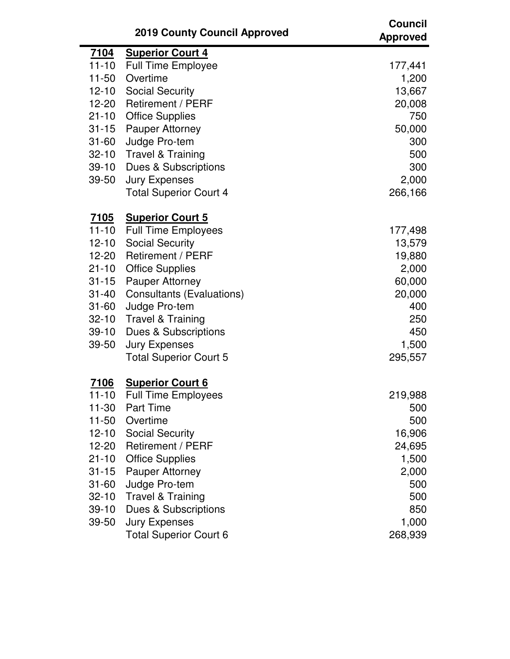|             | <b>2019 County Council Approved</b> | <b>Council</b><br><b>Approved</b> |
|-------------|-------------------------------------|-----------------------------------|
| <u>7104</u> | <b>Superior Court 4</b>             |                                   |
| $11 - 10$   | <b>Full Time Employee</b>           | 177,441                           |
| $11 - 50$   | Overtime                            | 1,200                             |
| $12 - 10$   | <b>Social Security</b>              | 13,667                            |
| $12 - 20$   | <b>Retirement / PERF</b>            | 20,008                            |
| $21 - 10$   | <b>Office Supplies</b>              | 750                               |
| $31 - 15$   | Pauper Attorney                     | 50,000                            |
| $31 - 60$   | Judge Pro-tem                       | 300                               |
| $32 - 10$   | <b>Travel &amp; Training</b>        | 500                               |
| $39-10$     | Dues & Subscriptions                | 300                               |
| 39-50       | <b>Jury Expenses</b>                | 2,000                             |
|             | <b>Total Superior Court 4</b>       | 266,166                           |
| <u>7105</u> | <b>Superior Court 5</b>             |                                   |
| $11 - 10$   | <b>Full Time Employees</b>          | 177,498                           |
| $12 - 10$   | <b>Social Security</b>              | 13,579                            |
| $12 - 20$   | <b>Retirement / PERF</b>            | 19,880                            |
| $21 - 10$   | <b>Office Supplies</b>              | 2,000                             |
| $31 - 15$   | Pauper Attorney                     | 60,000                            |
| $31 - 40$   | <b>Consultants (Evaluations)</b>    | 20,000                            |
| $31 - 60$   | Judge Pro-tem                       | 400                               |
| $32 - 10$   | <b>Travel &amp; Training</b>        | 250                               |
| $39-10$     | Dues & Subscriptions                | 450                               |
| 39-50       | <b>Jury Expenses</b>                | 1,500                             |
|             | <b>Total Superior Court 5</b>       | 295,557                           |
| <u>7106</u> | <b>Superior Court 6</b>             |                                   |
| 11-10       | <b>Full Time Employees</b>          | 219,988                           |
| $11 - 30$   | <b>Part Time</b>                    | 500                               |
| $11 - 50$   | Overtime                            | 500                               |
| $12 - 10$   | <b>Social Security</b>              | 16,906                            |
| 12-20       | Retirement / PERF                   | 24,695                            |
| $21 - 10$   | <b>Office Supplies</b>              | 1,500                             |
| $31 - 15$   | <b>Pauper Attorney</b>              | 2,000                             |
| $31 - 60$   | Judge Pro-tem                       | 500                               |
| $32 - 10$   | <b>Travel &amp; Training</b>        | 500                               |
| $39 - 10$   | Dues & Subscriptions                | 850                               |
| 39-50       | <b>Jury Expenses</b>                | 1,000                             |
|             | <b>Total Superior Court 6</b>       | 268,939                           |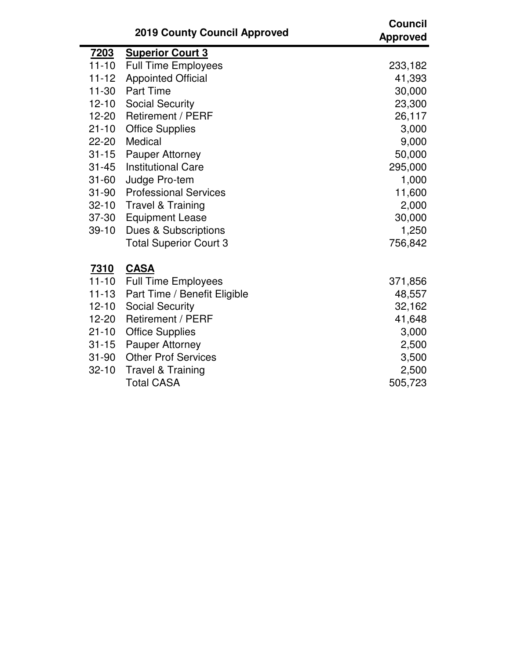|             | <b>2019 County Council Approved</b> | <b>Council</b><br><b>Approved</b> |
|-------------|-------------------------------------|-----------------------------------|
| <u>7203</u> | <b>Superior Court 3</b>             |                                   |
| $11 - 10$   | <b>Full Time Employees</b>          | 233,182                           |
| $11 - 12$   | <b>Appointed Official</b>           | 41,393                            |
| $11 - 30$   | <b>Part Time</b>                    | 30,000                            |
| $12 - 10$   | <b>Social Security</b>              | 23,300                            |
| $12 - 20$   | <b>Retirement / PERF</b>            | 26,117                            |
| $21 - 10$   | <b>Office Supplies</b>              | 3,000                             |
| $22 - 20$   | Medical                             | 9,000                             |
| $31 - 15$   | <b>Pauper Attorney</b>              | 50,000                            |
| $31 - 45$   | <b>Institutional Care</b>           | 295,000                           |
| $31 - 60$   | Judge Pro-tem                       | 1,000                             |
| $31 - 90$   | <b>Professional Services</b>        | 11,600                            |
| $32 - 10$   | <b>Travel &amp; Training</b>        | 2,000                             |
| 37-30       | <b>Equipment Lease</b>              | 30,000                            |
| $39 - 10$   | Dues & Subscriptions                | 1,250                             |
|             | <b>Total Superior Court 3</b>       | 756,842                           |
| <u>7310</u> | <b>CASA</b>                         |                                   |
| $11 - 10$   | <b>Full Time Employees</b>          | 371,856                           |
| $11 - 13$   | Part Time / Benefit Eligible        | 48,557                            |
| $12 - 10$   | <b>Social Security</b>              | 32,162                            |
| $12 - 20$   | <b>Retirement / PERF</b>            | 41,648                            |
| $21 - 10$   | <b>Office Supplies</b>              | 3,000                             |
| $31 - 15$   | <b>Pauper Attorney</b>              | 2,500                             |
| $31 - 90$   | <b>Other Prof Services</b>          | 3,500                             |
| $32 - 10$   | <b>Travel &amp; Training</b>        | 2,500                             |
|             | <b>Total CASA</b>                   | 505,723                           |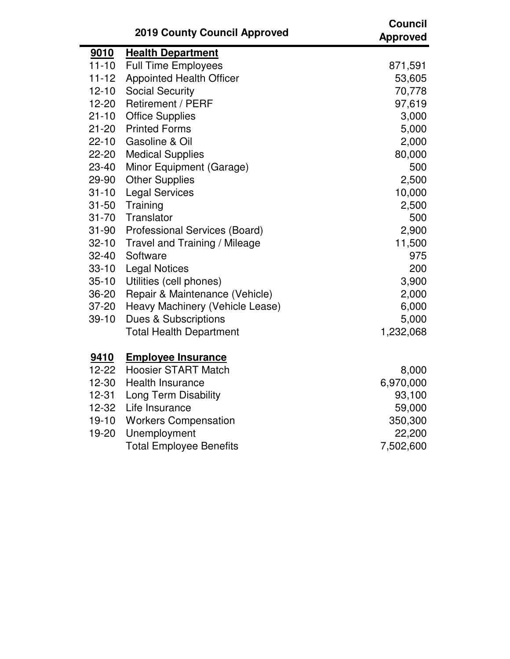|           | <b>2019 County Council Approved</b> | <b>Council</b><br><b>Approved</b> |
|-----------|-------------------------------------|-----------------------------------|
| 9010      | <b>Health Department</b>            |                                   |
| $11 - 10$ | <b>Full Time Employees</b>          | 871,591                           |
| $11 - 12$ | <b>Appointed Health Officer</b>     | 53,605                            |
| $12 - 10$ | <b>Social Security</b>              | 70,778                            |
| $12 - 20$ | <b>Retirement / PERF</b>            | 97,619                            |
| $21 - 10$ | <b>Office Supplies</b>              | 3,000                             |
| $21 - 20$ | <b>Printed Forms</b>                | 5,000                             |
| $22 - 10$ | Gasoline & Oil                      | 2,000                             |
| 22-20     | <b>Medical Supplies</b>             | 80,000                            |
| 23-40     | Minor Equipment (Garage)            | 500                               |
| 29-90     | <b>Other Supplies</b>               | 2,500                             |
| $31 - 10$ | <b>Legal Services</b>               | 10,000                            |
| $31 - 50$ | Training                            | 2,500                             |
| $31 - 70$ | Translator                          | 500                               |
| 31-90     | Professional Services (Board)       | 2,900                             |
| $32 - 10$ | Travel and Training / Mileage       | 11,500                            |
| $32 - 40$ | Software                            | 975                               |
| $33 - 10$ | <b>Legal Notices</b>                | 200                               |
| $35 - 10$ | Utilities (cell phones)             | 3,900                             |
| 36-20     | Repair & Maintenance (Vehicle)      | 2,000                             |
| 37-20     | Heavy Machinery (Vehicle Lease)     | 6,000                             |
| $39 - 10$ | <b>Dues &amp; Subscriptions</b>     | 5,000                             |
|           | <b>Total Health Department</b>      | 1,232,068                         |
| 9410      | <b>Employee Insurance</b>           |                                   |
| $12 - 22$ | <b>Hoosier START Match</b>          | 8,000                             |
| $12 - 30$ | <b>Health Insurance</b>             | 6,970,000                         |
| $12 - 31$ | Long Term Disability                | 93,100                            |
| $12 - 32$ | Life Insurance                      | 59,000                            |
| $19 - 10$ | <b>Workers Compensation</b>         | 350,300                           |

19-20 Unemployment 22,200 Total Employee Benefits 7,502,600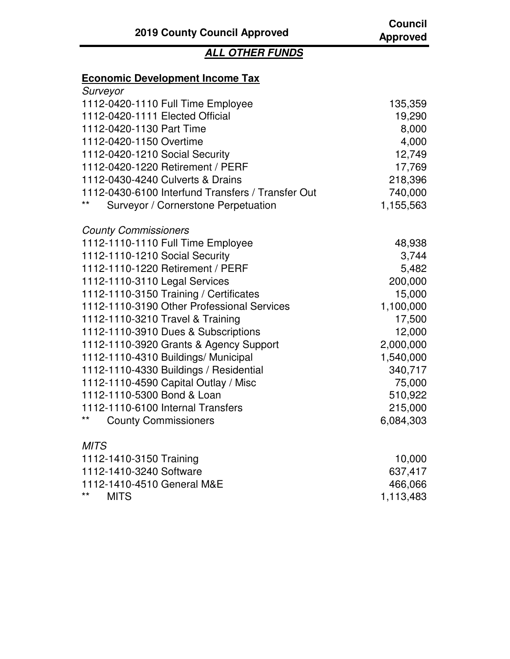## **ALL OTHER FUNDS**

## **Economic Development Income Tax**

| Surveyor                                          |           |
|---------------------------------------------------|-----------|
| 1112-0420-1110 Full Time Employee                 | 135,359   |
| 1112-0420-1111 Elected Official                   | 19,290    |
| 1112-0420-1130 Part Time                          | 8,000     |
| 1112-0420-1150 Overtime                           | 4,000     |
| 1112-0420-1210 Social Security                    | 12,749    |
| 1112-0420-1220 Retirement / PERF                  | 17,769    |
| 1112-0430-4240 Culverts & Drains                  | 218,396   |
| 1112-0430-6100 Interfund Transfers / Transfer Out | 740,000   |
| **<br>Surveyor / Cornerstone Perpetuation         | 1,155,563 |
| <b>County Commissioners</b>                       |           |
| 1112-1110-1110 Full Time Employee                 | 48,938    |
| 1112-1110-1210 Social Security                    | 3,744     |
| 1112-1110-1220 Retirement / PERF                  | 5,482     |
| 1112-1110-3110 Legal Services                     | 200,000   |
| 1112-1110-3150 Training / Certificates            | 15,000    |
| 1112-1110-3190 Other Professional Services        | 1,100,000 |
| 1112-1110-3210 Travel & Training                  | 17,500    |
| 1112-1110-3910 Dues & Subscriptions               | 12,000    |
| 1112-1110-3920 Grants & Agency Support            | 2,000,000 |
| 1112-1110-4310 Buildings/ Municipal               | 1,540,000 |
| 1112-1110-4330 Buildings / Residential            | 340,717   |
| 1112-1110-4590 Capital Outlay / Misc              | 75,000    |
| 1112-1110-5300 Bond & Loan                        | 510,922   |
| 1112-1110-6100 Internal Transfers                 | 215,000   |
| $***$<br><b>County Commissioners</b>              | 6,084,303 |
| <b>MITS</b>                                       |           |
| 1112-1410-3150 Training                           | 10,000    |
| 1112-1410-3240 Software                           | 637,417   |
| 1112-1410-4510 General M&E                        | 466,066   |
| $***$<br><b>MITS</b>                              | 1,113,483 |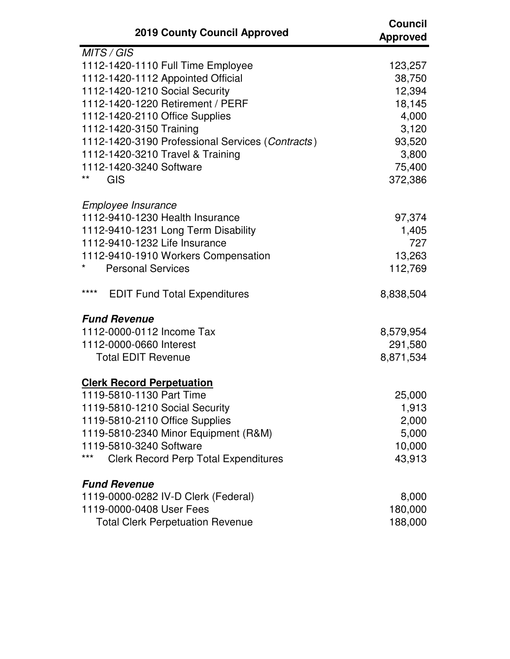| <b>2019 County Council Approved</b>                | <b>Council</b><br><b>Approved</b> |
|----------------------------------------------------|-----------------------------------|
| MITS / GIS                                         |                                   |
| 1112-1420-1110 Full Time Employee                  | 123,257                           |
| 1112-1420-1112 Appointed Official                  | 38,750                            |
| 1112-1420-1210 Social Security                     | 12,394                            |
| 1112-1420-1220 Retirement / PERF                   | 18,145                            |
| 1112-1420-2110 Office Supplies                     | 4,000                             |
| 1112-1420-3150 Training                            | 3,120                             |
| 1112-1420-3190 Professional Services (Contracts)   | 93,520                            |
| 1112-1420-3210 Travel & Training                   | 3,800                             |
| 1112-1420-3240 Software                            | 75,400                            |
| **<br><b>GIS</b>                                   | 372,386                           |
| Employee Insurance                                 |                                   |
| 1112-9410-1230 Health Insurance                    | 97,374                            |
| 1112-9410-1231 Long Term Disability                | 1,405                             |
| 1112-9410-1232 Life Insurance                      | 727                               |
| 1112-9410-1910 Workers Compensation                | 13,263                            |
| <b>Personal Services</b>                           | 112,769                           |
| ****<br><b>EDIT Fund Total Expenditures</b>        | 8,838,504                         |
| <b>Fund Revenue</b>                                |                                   |
| 1112-0000-0112 Income Tax                          | 8,579,954                         |
| 1112-0000-0660 Interest                            | 291,580                           |
| <b>Total EDIT Revenue</b>                          | 8,871,534                         |
| <b>Clerk Record Perpetuation</b>                   |                                   |
| 1119-5810-1130 Part Time                           | 25,000                            |
| 1119-5810-1210 Social Security                     | 1,913                             |
| 1119-5810-2110 Office Supplies                     | 2,000                             |
| 1119-5810-2340 Minor Equipment (R&M)               | 5,000                             |
| 1119-5810-3240 Software                            | 10,000                            |
| ***<br><b>Clerk Record Perp Total Expenditures</b> | 43,913                            |
| <b>Fund Revenue</b>                                |                                   |
| 1119-0000-0282 IV-D Clerk (Federal)                | 8,000                             |
| 1119-0000-0408 User Fees                           | 180,000                           |
| <b>Total Clerk Perpetuation Revenue</b>            | 188,000                           |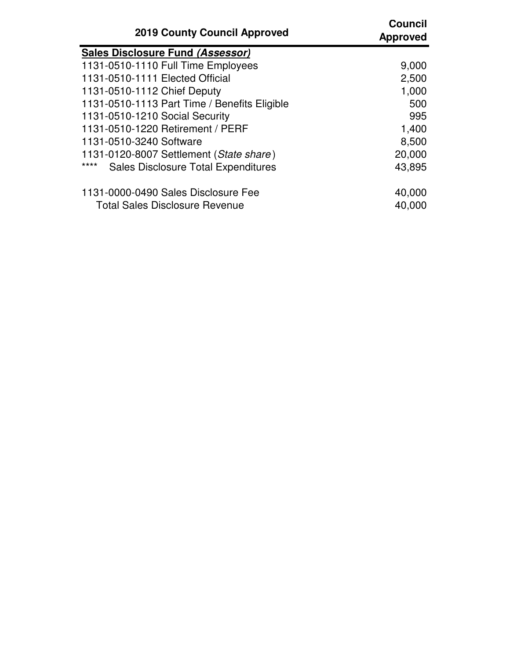| <b>2019 County Council Approved</b>                | <b>Council</b><br><b>Approved</b> |
|----------------------------------------------------|-----------------------------------|
| Sales Disclosure Fund (Assessor)                   |                                   |
| 1131-0510-1110 Full Time Employees                 | 9,000                             |
| 1131-0510-1111 Elected Official                    | 2,500                             |
| 1131-0510-1112 Chief Deputy                        | 1,000                             |
| 1131-0510-1113 Part Time / Benefits Eligible       | 500                               |
| 1131-0510-1210 Social Security                     | 995                               |
| 1131-0510-1220 Retirement / PERF                   | 1,400                             |
| 1131-0510-3240 Software                            | 8,500                             |
| 1131-0120-8007 Settlement (State share)            | 20,000                            |
| ****<br><b>Sales Disclosure Total Expenditures</b> | 43,895                            |
| 1131-0000-0490 Sales Disclosure Fee                | 40,000                            |
| <b>Total Sales Disclosure Revenue</b>              | 40,000                            |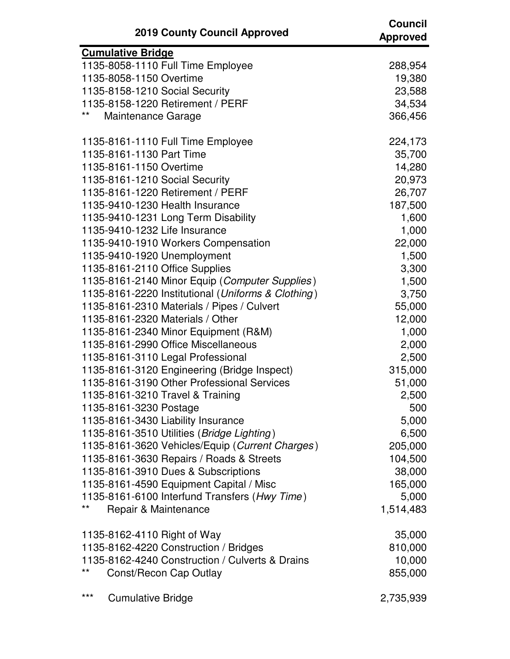| <b>2019 County Council Approved</b>                | <b>Council</b><br><b>Approved</b> |
|----------------------------------------------------|-----------------------------------|
| <b>Cumulative Bridge</b>                           |                                   |
| 1135-8058-1110 Full Time Employee                  | 288,954                           |
| 1135-8058-1150 Overtime                            | 19,380                            |
| 1135-8158-1210 Social Security                     | 23,588                            |
| 1135-8158-1220 Retirement / PERF                   | 34,534                            |
| $***$<br>Maintenance Garage                        | 366,456                           |
| 1135-8161-1110 Full Time Employee                  | 224,173                           |
| 1135-8161-1130 Part Time                           | 35,700                            |
| 1135-8161-1150 Overtime                            | 14,280                            |
| 1135-8161-1210 Social Security                     | 20,973                            |
| 1135-8161-1220 Retirement / PERF                   | 26,707                            |
| 1135-9410-1230 Health Insurance                    | 187,500                           |
| 1135-9410-1231 Long Term Disability                | 1,600                             |
| 1135-9410-1232 Life Insurance                      | 1,000                             |
| 1135-9410-1910 Workers Compensation                | 22,000                            |
| 1135-9410-1920 Unemployment                        | 1,500                             |
| 1135-8161-2110 Office Supplies                     | 3,300                             |
| 1135-8161-2140 Minor Equip (Computer Supplies)     | 1,500                             |
| 1135-8161-2220 Institutional (Uniforms & Clothing) | 3,750                             |
| 1135-8161-2310 Materials / Pipes / Culvert         | 55,000                            |
| 1135-8161-2320 Materials / Other                   | 12,000                            |
| 1135-8161-2340 Minor Equipment (R&M)               | 1,000                             |
| 1135-8161-2990 Office Miscellaneous                | 2,000                             |
| 1135-8161-3110 Legal Professional                  | 2,500                             |
| 1135-8161-3120 Engineering (Bridge Inspect)        | 315,000                           |
| 1135-8161-3190 Other Professional Services         | 51,000                            |
| 1135-8161-3210 Travel & Training                   | 2,500                             |
| 1135-8161-3230 Postage                             | 500                               |
| 1135-8161-3430 Liability Insurance                 | 5,000                             |
| 1135-8161-3510 Utilities (Bridge Lighting)         | 6,500                             |
| 1135-8161-3620 Vehicles/Equip (Current Charges)    | 205,000                           |
| 1135-8161-3630 Repairs / Roads & Streets           | 104,500                           |
| 1135-8161-3910 Dues & Subscriptions                | 38,000                            |
| 1135-8161-4590 Equipment Capital / Misc            | 165,000                           |
| 1135-8161-6100 Interfund Transfers (Hwy Time)      | 5,000                             |
| $***$<br>Repair & Maintenance                      | 1,514,483                         |
| 1135-8162-4110 Right of Way                        | 35,000                            |
| 1135-8162-4220 Construction / Bridges              | 810,000                           |
| 1135-8162-4240 Construction / Culverts & Drains    | 10,000                            |
| $***$<br>Const/Recon Cap Outlay                    | 855,000                           |
| ***<br><b>Cumulative Bridge</b>                    | 2,735,939                         |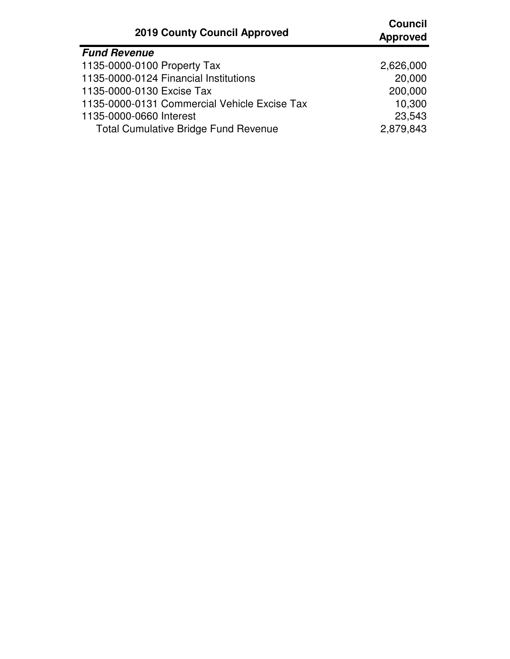| <b>2019 County Council Approved</b>          | <b>Council</b><br><b>Approved</b> |
|----------------------------------------------|-----------------------------------|
| <b>Fund Revenue</b>                          |                                   |
| 1135-0000-0100 Property Tax                  | 2,626,000                         |
| 1135-0000-0124 Financial Institutions        | 20,000                            |
| 1135-0000-0130 Excise Tax                    | 200,000                           |
| 1135-0000-0131 Commercial Vehicle Excise Tax | 10,300                            |
| 1135-0000-0660 Interest                      | 23,543                            |
| <b>Total Cumulative Bridge Fund Revenue</b>  | 2,879,843                         |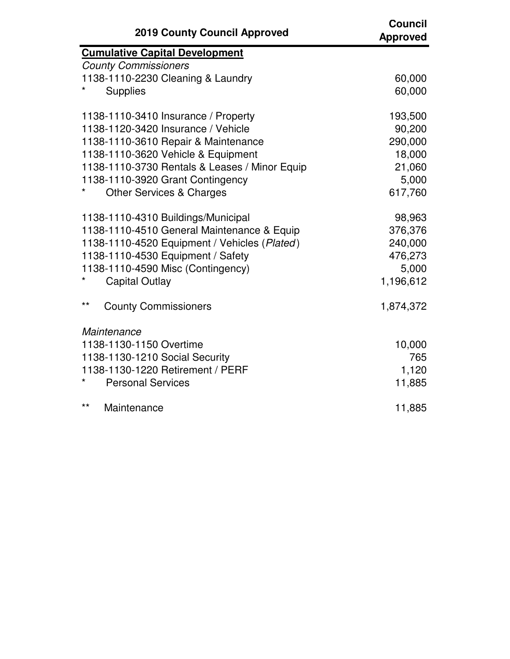| <b>2019 County Council Approved</b>           | <b>Council</b><br><b>Approved</b> |
|-----------------------------------------------|-----------------------------------|
| <b>Cumulative Capital Development</b>         |                                   |
| <b>County Commissioners</b>                   |                                   |
| 1138-1110-2230 Cleaning & Laundry             | 60,000                            |
| <b>Supplies</b>                               | 60,000                            |
| 1138-1110-3410 Insurance / Property           | 193,500                           |
| 1138-1120-3420 Insurance / Vehicle            | 90,200                            |
| 1138-1110-3610 Repair & Maintenance           | 290,000                           |
| 1138-1110-3620 Vehicle & Equipment            | 18,000                            |
| 1138-1110-3730 Rentals & Leases / Minor Equip | 21,060                            |
| 1138-1110-3920 Grant Contingency              | 5,000                             |
| <b>Other Services &amp; Charges</b>           | 617,760                           |
| 1138-1110-4310 Buildings/Municipal            | 98,963                            |
| 1138-1110-4510 General Maintenance & Equip    | 376,376                           |
| 1138-1110-4520 Equipment / Vehicles (Plated)  | 240,000                           |
| 1138-1110-4530 Equipment / Safety             | 476,273                           |
| 1138-1110-4590 Misc (Contingency)             | 5,000                             |
| <b>Capital Outlay</b>                         | 1,196,612                         |
| $***$<br><b>County Commissioners</b>          | 1,874,372                         |
| Maintenance                                   |                                   |
| 1138-1130-1150 Overtime                       | 10,000                            |
| 1138-1130-1210 Social Security                | 765                               |
| 1138-1130-1220 Retirement / PERF              | 1,120                             |
| <b>Personal Services</b>                      | 11,885                            |
| $***$<br>Maintenance                          | 11,885                            |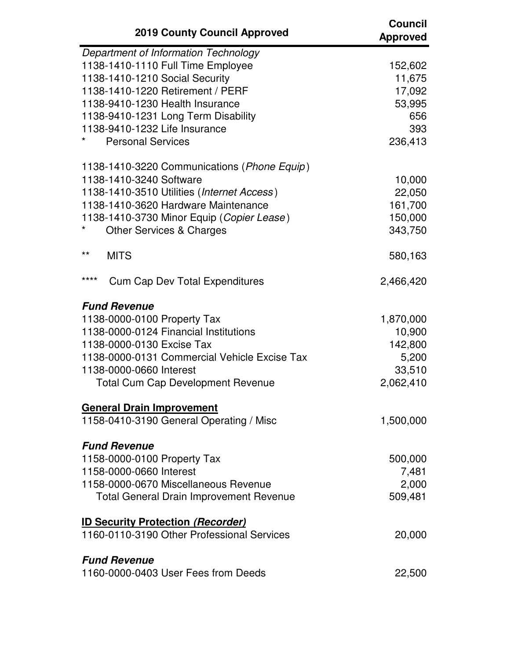| <b>2019 County Council Approved</b>                                                                                                                                                                                                                                                    | <b>Council</b><br><b>Approved</b>                              |
|----------------------------------------------------------------------------------------------------------------------------------------------------------------------------------------------------------------------------------------------------------------------------------------|----------------------------------------------------------------|
| Department of Information Technology<br>1138-1410-1110 Full Time Employee<br>1138-1410-1210 Social Security<br>1138-1410-1220 Retirement / PERF<br>1138-9410-1230 Health Insurance<br>1138-9410-1231 Long Term Disability<br>1138-9410-1232 Life Insurance<br><b>Personal Services</b> | 152,602<br>11,675<br>17,092<br>53,995<br>656<br>393<br>236,413 |
| 1138-1410-3220 Communications ( <i>Phone Equip</i> )<br>1138-1410-3240 Software<br>1138-1410-3510 Utilities (Internet Access)<br>1138-1410-3620 Hardware Maintenance<br>1138-1410-3730 Minor Equip (Copier Lease)<br>*<br><b>Other Services &amp; Charges</b>                          | 10,000<br>22,050<br>161,700<br>150,000<br>343,750              |
| $^{\star\star}$<br><b>MITS</b>                                                                                                                                                                                                                                                         | 580,163                                                        |
| ****<br><b>Cum Cap Dev Total Expenditures</b>                                                                                                                                                                                                                                          | 2,466,420                                                      |
| <b>Fund Revenue</b><br>1138-0000-0100 Property Tax<br>1138-0000-0124 Financial Institutions<br>1138-0000-0130 Excise Tax<br>1138-0000-0131 Commercial Vehicle Excise Tax<br>1138-0000-0660 Interest<br><b>Total Cum Cap Development Revenue</b>                                        | 1,870,000<br>10,900<br>142,800<br>5,200<br>33,510<br>2,062,410 |
| <b>General Drain Improvement</b><br>1158-0410-3190 General Operating / Misc                                                                                                                                                                                                            | 1,500,000                                                      |
| <b>Fund Revenue</b><br>1158-0000-0100 Property Tax<br>1158-0000-0660 Interest<br>1158-0000-0670 Miscellaneous Revenue<br><b>Total General Drain Improvement Revenue</b>                                                                                                                | 500,000<br>7,481<br>2,000<br>509,481                           |
| <b>ID Security Protection (Recorder)</b><br>1160-0110-3190 Other Professional Services                                                                                                                                                                                                 | 20,000                                                         |
| <b>Fund Revenue</b><br>1160-0000-0403 User Fees from Deeds                                                                                                                                                                                                                             | 22,500                                                         |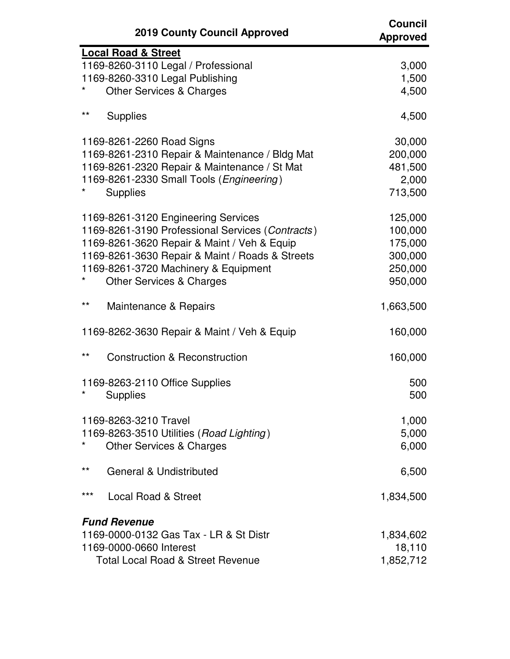|              | <b>2019 County Council Approved</b>                                                                                                                                                                                                                                      | Council<br><b>Approved</b>                                     |
|--------------|--------------------------------------------------------------------------------------------------------------------------------------------------------------------------------------------------------------------------------------------------------------------------|----------------------------------------------------------------|
|              | Local Road & Street<br>1169-8260-3110 Legal / Professional<br>1169-8260-3310 Legal Publishing<br><b>Other Services &amp; Charges</b>                                                                                                                                     | 3,000<br>1,500<br>4,500                                        |
| $***$        | <b>Supplies</b>                                                                                                                                                                                                                                                          | 4,500                                                          |
|              | 1169-8261-2260 Road Signs<br>1169-8261-2310 Repair & Maintenance / Bldg Mat<br>1169-8261-2320 Repair & Maintenance / St Mat<br>1169-8261-2330 Small Tools (Engineering)<br><b>Supplies</b>                                                                               | 30,000<br>200,000<br>481,500<br>2,000<br>713,500               |
|              | 1169-8261-3120 Engineering Services<br>1169-8261-3190 Professional Services (Contracts)<br>1169-8261-3620 Repair & Maint / Veh & Equip<br>1169-8261-3630 Repair & Maint / Roads & Streets<br>1169-8261-3720 Machinery & Equipment<br><b>Other Services &amp; Charges</b> | 125,000<br>100,000<br>175,000<br>300,000<br>250,000<br>950,000 |
| $***$        | Maintenance & Repairs                                                                                                                                                                                                                                                    | 1,663,500                                                      |
|              | 1169-8262-3630 Repair & Maint / Veh & Equip                                                                                                                                                                                                                              | 160,000                                                        |
| $***$        | <b>Construction &amp; Reconstruction</b>                                                                                                                                                                                                                                 | 160,000                                                        |
|              | 1169-8263-2110 Office Supplies<br><b>Supplies</b>                                                                                                                                                                                                                        | 500<br>500                                                     |
|              | 1169-8263-3210 Travel<br>1169-8263-3510 Utilities (Road Lighting)<br><b>Other Services &amp; Charges</b>                                                                                                                                                                 | 1,000<br>5,000<br>6,000                                        |
| $\star\star$ | <b>General &amp; Undistributed</b>                                                                                                                                                                                                                                       | 6,500                                                          |
| ***          | <b>Local Road &amp; Street</b>                                                                                                                                                                                                                                           | 1,834,500                                                      |
|              | <b>Fund Revenue</b><br>1169-0000-0132 Gas Tax - LR & St Distr<br>1169-0000-0660 Interest<br><b>Total Local Road &amp; Street Revenue</b>                                                                                                                                 | 1,834,602<br>18,110<br>1,852,712                               |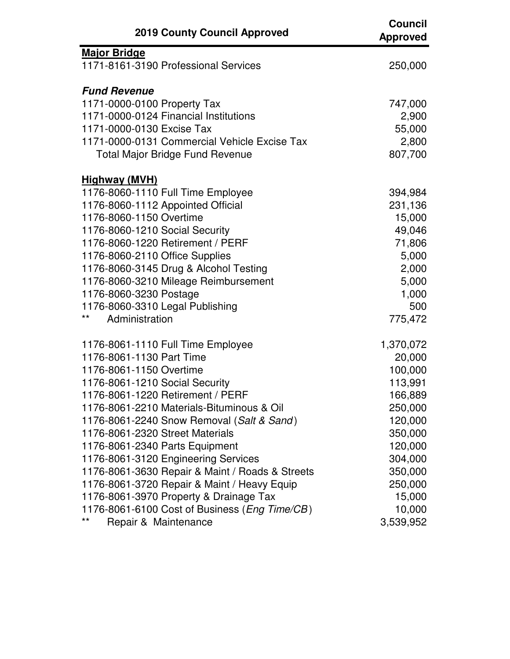| <b>2019 County Council Approved</b>             | <b>Council</b><br><b>Approved</b> |
|-------------------------------------------------|-----------------------------------|
| <b>Major Bridge</b>                             |                                   |
| 1171-8161-3190 Professional Services            | 250,000                           |
| <b>Fund Revenue</b>                             |                                   |
| 1171-0000-0100 Property Tax                     | 747,000                           |
| 1171-0000-0124 Financial Institutions           | 2,900                             |
| 1171-0000-0130 Excise Tax                       | 55,000                            |
| 1171-0000-0131 Commercial Vehicle Excise Tax    | 2,800                             |
| <b>Total Major Bridge Fund Revenue</b>          | 807,700                           |
| <b>Highway (MVH)</b>                            |                                   |
| 1176-8060-1110 Full Time Employee               | 394,984                           |
| 1176-8060-1112 Appointed Official               | 231,136                           |
| 1176-8060-1150 Overtime                         | 15,000                            |
| 1176-8060-1210 Social Security                  | 49,046                            |
| 1176-8060-1220 Retirement / PERF                | 71,806                            |
| 1176-8060-2110 Office Supplies                  | 5,000                             |
| 1176-8060-3145 Drug & Alcohol Testing           | 2,000                             |
| 1176-8060-3210 Mileage Reimbursement            | 5,000                             |
| 1176-8060-3230 Postage                          | 1,000                             |
| 1176-8060-3310 Legal Publishing                 | 500                               |
| **<br>Administration                            | 775,472                           |
| 1176-8061-1110 Full Time Employee               | 1,370,072                         |
| 1176-8061-1130 Part Time                        | 20,000                            |
| 1176-8061-1150 Overtime                         | 100,000                           |
| 1176-8061-1210 Social Security                  | 113,991                           |
| 1176-8061-1220 Retirement / PERF                | 166,889                           |
| 1176-8061-2210 Materials-Bituminous & Oil       | 250,000                           |
| 1176-8061-2240 Snow Removal (Salt & Sand)       | 120,000                           |
| 1176-8061-2320 Street Materials                 | 350,000                           |
| 1176-8061-2340 Parts Equipment                  | 120,000                           |
| 1176-8061-3120 Engineering Services             | 304,000                           |
| 1176-8061-3630 Repair & Maint / Roads & Streets | 350,000                           |
| 1176-8061-3720 Repair & Maint / Heavy Equip     | 250,000                           |
| 1176-8061-3970 Property & Drainage Tax          | 15,000                            |
| 1176-8061-6100 Cost of Business (Eng Time/CB)   | 10,000                            |
| $***$<br>Repair & Maintenance                   | 3,539,952                         |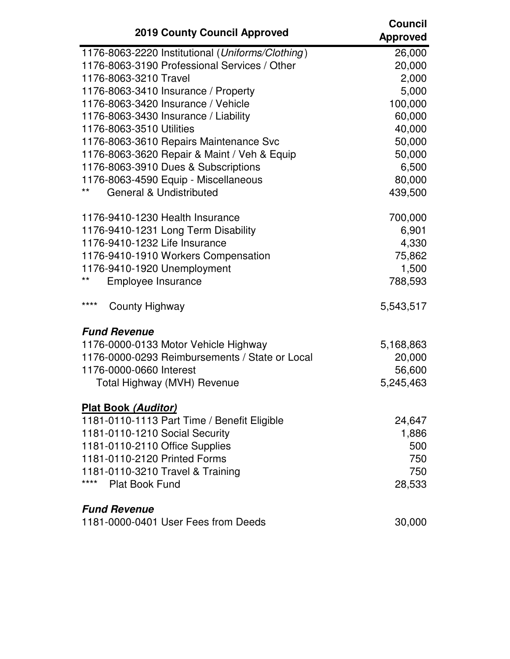| <b>2019 County Council Approved</b>              | <b>Council</b><br><b>Approved</b> |
|--------------------------------------------------|-----------------------------------|
| 1176-8063-2220 Institutional (Uniforms/Clothing) | 26,000                            |
| 1176-8063-3190 Professional Services / Other     | 20,000                            |
| 1176-8063-3210 Travel                            | 2,000                             |
| 1176-8063-3410 Insurance / Property              | 5,000                             |
| 1176-8063-3420 Insurance / Vehicle               | 100,000                           |
| 1176-8063-3430 Insurance / Liability             | 60,000                            |
| 1176-8063-3510 Utilities                         | 40,000                            |
| 1176-8063-3610 Repairs Maintenance Svc           | 50,000                            |
| 1176-8063-3620 Repair & Maint / Veh & Equip      | 50,000                            |
| 1176-8063-3910 Dues & Subscriptions              | 6,500                             |
| 1176-8063-4590 Equip - Miscellaneous             | 80,000                            |
| **<br><b>General &amp; Undistributed</b>         | 439,500                           |
| 1176-9410-1230 Health Insurance                  | 700,000                           |
| 1176-9410-1231 Long Term Disability              | 6,901                             |
| 1176-9410-1232 Life Insurance                    | 4,330                             |
| 1176-9410-1910 Workers Compensation              | 75,862                            |
| 1176-9410-1920 Unemployment                      | 1,500                             |
| **<br>Employee Insurance                         | 788,593                           |
| ****<br>County Highway                           | 5,543,517                         |
| <b>Fund Revenue</b>                              |                                   |
| 1176-0000-0133 Motor Vehicle Highway             | 5,168,863                         |
| 1176-0000-0293 Reimbursements / State or Local   | 20,000                            |
| 1176-0000-0660 Interest                          | 56,600                            |
| Total Highway (MVH) Revenue                      | 5,245,463                         |
| <b>Plat Book (Auditor)</b>                       |                                   |
| 1181-0110-1113 Part Time / Benefit Eligible      | 24,647                            |
| 1181-0110-1210 Social Security                   | 1,886                             |
| 1181-0110-2110 Office Supplies                   | 500                               |
| 1181-0110-2120 Printed Forms                     | 750                               |
| 1181-0110-3210 Travel & Training                 | 750                               |
| ****<br><b>Plat Book Fund</b>                    | 28,533                            |
| <b>Fund Revenue</b>                              |                                   |
| 1181-0000-0401 User Fees from Deeds              | 30,000                            |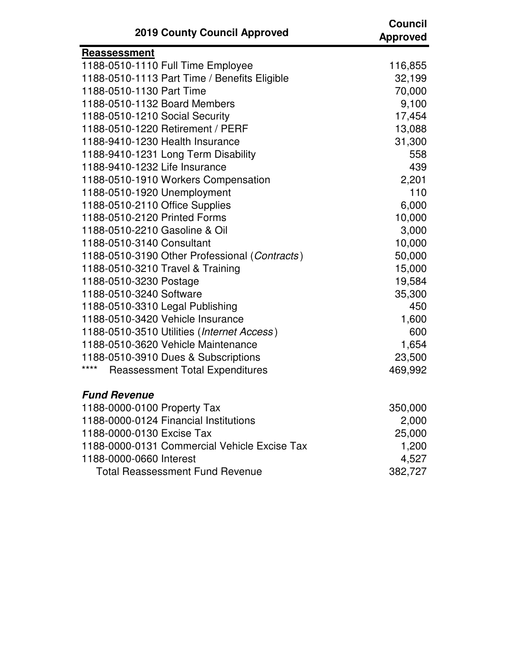| <b>2019 County Council Approved</b>            | <b>Council</b><br><b>Approved</b> |
|------------------------------------------------|-----------------------------------|
| Reassessment                                   |                                   |
| 1188-0510-1110 Full Time Employee              | 116,855                           |
| 1188-0510-1113 Part Time / Benefits Eligible   | 32,199                            |
| 1188-0510-1130 Part Time                       | 70,000                            |
| 1188-0510-1132 Board Members                   | 9,100                             |
| 1188-0510-1210 Social Security                 | 17,454                            |
| 1188-0510-1220 Retirement / PERF               | 13,088                            |
| 1188-9410-1230 Health Insurance                | 31,300                            |
| 1188-9410-1231 Long Term Disability            | 558                               |
| 1188-9410-1232 Life Insurance                  | 439                               |
| 1188-0510-1910 Workers Compensation            | 2,201                             |
| 1188-0510-1920 Unemployment                    | 110                               |
| 1188-0510-2110 Office Supplies                 | 6,000                             |
| 1188-0510-2120 Printed Forms                   | 10,000                            |
| 1188-0510-2210 Gasoline & Oil                  | 3,000                             |
| 1188-0510-3140 Consultant                      | 10,000                            |
| 1188-0510-3190 Other Professional (Contracts)  | 50,000                            |
| 1188-0510-3210 Travel & Training               | 15,000                            |
| 1188-0510-3230 Postage                         | 19,584                            |
| 1188-0510-3240 Software                        | 35,300                            |
| 1188-0510-3310 Legal Publishing                | 450                               |
| 1188-0510-3420 Vehicle Insurance               | 1,600                             |
| 1188-0510-3510 Utilities (Internet Access)     | 600                               |
| 1188-0510-3620 Vehicle Maintenance             | 1,654                             |
| 1188-0510-3910 Dues & Subscriptions            | 23,500                            |
| ****<br><b>Reassessment Total Expenditures</b> | 469,992                           |
| <b>Fund Revenue</b>                            |                                   |
| 1188-0000-0100 Property Tax                    | 350,000                           |
| 1188-0000-0124 Financial Institutions          | 2,000                             |
| 1188-0000-0130 Excise Tax                      | 25,000                            |
| 1188-0000-0131 Commercial Vehicle Excise Tax   | 1,200                             |
| 1188-0000-0660 Interest                        | 4,527                             |

1188-0000-0660 Interest 4,527<br>Total Reassessment Fund Revenue 4,527

Total Reassessment Fund Revenue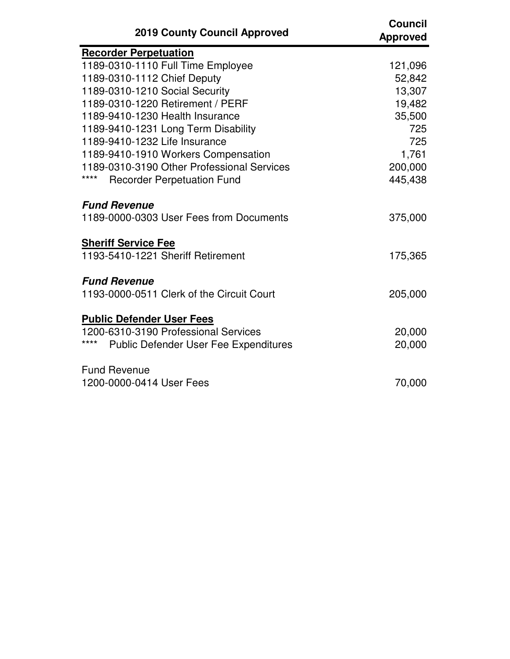| <b>2019 County Council Approved</b>                  | <b>Council</b><br><b>Approved</b> |
|------------------------------------------------------|-----------------------------------|
| <b>Recorder Perpetuation</b>                         |                                   |
| 1189-0310-1110 Full Time Employee                    | 121,096                           |
| 1189-0310-1112 Chief Deputy                          | 52,842                            |
| 1189-0310-1210 Social Security                       | 13,307                            |
| 1189-0310-1220 Retirement / PERF                     | 19,482                            |
| 1189-9410-1230 Health Insurance                      | 35,500                            |
| 1189-9410-1231 Long Term Disability                  | 725                               |
| 1189-9410-1232 Life Insurance                        | 725                               |
| 1189-9410-1910 Workers Compensation                  | 1,761                             |
| 1189-0310-3190 Other Professional Services           | 200,000                           |
| ****<br><b>Recorder Perpetuation Fund</b>            | 445,438                           |
| <b>Fund Revenue</b>                                  |                                   |
| 1189-0000-0303 User Fees from Documents              | 375,000                           |
| <b>Sheriff Service Fee</b>                           |                                   |
| 1193-5410-1221 Sheriff Retirement                    | 175,365                           |
| <b>Fund Revenue</b>                                  |                                   |
| 1193-0000-0511 Clerk of the Circuit Court            | 205,000                           |
| <b>Public Defender User Fees</b>                     |                                   |
| 1200-6310-3190 Professional Services                 | 20,000                            |
| ****<br><b>Public Defender User Fee Expenditures</b> | 20,000                            |
| <b>Fund Revenue</b>                                  |                                   |
| 1200-0000-0414 User Fees                             | 70,000                            |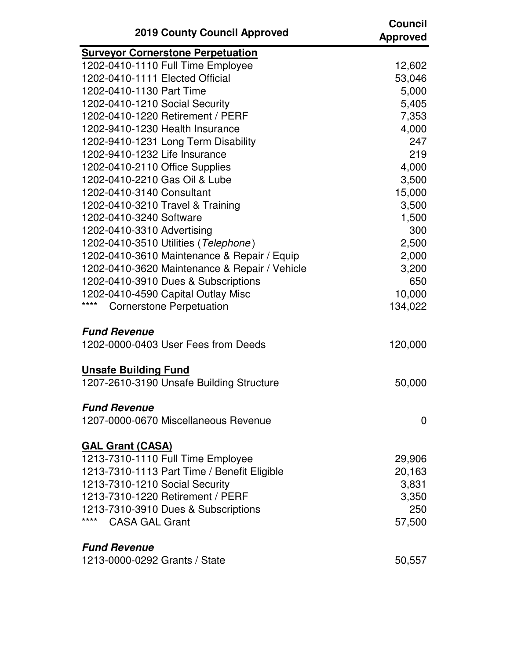| <b>2019 County Council Approved</b>           | <b>Council</b><br><b>Approved</b> |
|-----------------------------------------------|-----------------------------------|
| <b>Surveyor Cornerstone Perpetuation</b>      |                                   |
| 1202-0410-1110 Full Time Employee             | 12,602                            |
| 1202-0410-1111 Elected Official               | 53,046                            |
| 1202-0410-1130 Part Time                      | 5,000                             |
| 1202-0410-1210 Social Security                | 5,405                             |
| 1202-0410-1220 Retirement / PERF              | 7,353                             |
| 1202-9410-1230 Health Insurance               | 4,000                             |
| 1202-9410-1231 Long Term Disability           | 247                               |
| 1202-9410-1232 Life Insurance                 | 219                               |
| 1202-0410-2110 Office Supplies                | 4,000                             |
| 1202-0410-2210 Gas Oil & Lube                 | 3,500                             |
| 1202-0410-3140 Consultant                     | 15,000                            |
| 1202-0410-3210 Travel & Training              | 3,500                             |
| 1202-0410-3240 Software                       | 1,500                             |
| 1202-0410-3310 Advertising                    | 300                               |
| 1202-0410-3510 Utilities (Telephone)          | 2,500                             |
| 1202-0410-3610 Maintenance & Repair / Equip   | 2,000                             |
| 1202-0410-3620 Maintenance & Repair / Vehicle | 3,200                             |
| 1202-0410-3910 Dues & Subscriptions           | 650                               |
| 1202-0410-4590 Capital Outlay Misc            | 10,000                            |
| ****<br><b>Cornerstone Perpetuation</b>       | 134,022                           |
| <b>Fund Revenue</b>                           |                                   |
| 1202-0000-0403 User Fees from Deeds           | 120,000                           |
| <b>Unsafe Building Fund</b>                   |                                   |
| 1207-2610-3190 Unsafe Building Structure      | 50,000                            |
| <b>Fund Revenue</b>                           |                                   |
| 1207-0000-0670 Miscellaneous Revenue          | 0                                 |
| <b>GAL Grant (CASA)</b>                       |                                   |
| 1213-7310-1110 Full Time Employee             | 29,906                            |
| 1213-7310-1113 Part Time / Benefit Eligible   | 20,163                            |
| 1213-7310-1210 Social Security                | 3,831                             |
| 1213-7310-1220 Retirement / PERF              | 3,350                             |
| 1213-7310-3910 Dues & Subscriptions           | 250                               |
| ****<br><b>CASA GAL Grant</b>                 | 57,500                            |
| <b>Fund Revenue</b>                           |                                   |
| 1213-0000-0292 Grants / State                 | 50,557                            |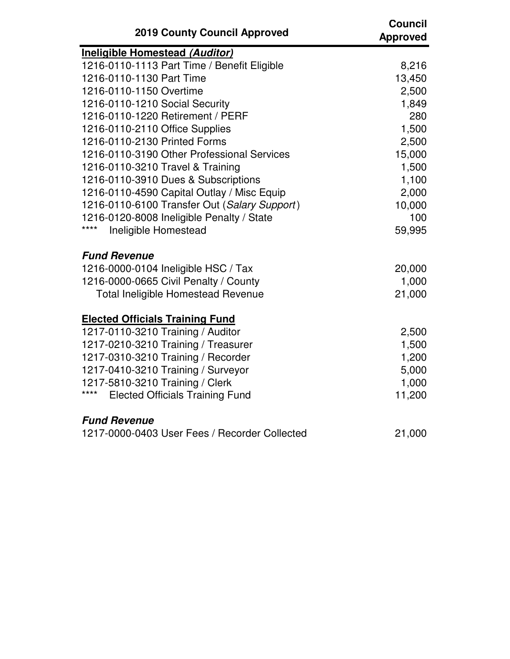| <b>2019 County Council Approved</b>            | <b>Council</b><br>Approved |
|------------------------------------------------|----------------------------|
| <b>Ineligible Homestead (Auditor)</b>          |                            |
| 1216-0110-1113 Part Time / Benefit Eligible    | 8,216                      |
| 1216-0110-1130 Part Time                       | 13,450                     |
| 1216-0110-1150 Overtime                        | 2,500                      |
| 1216-0110-1210 Social Security                 | 1,849                      |
| 1216-0110-1220 Retirement / PERF               | 280                        |
| 1216-0110-2110 Office Supplies                 | 1,500                      |
| 1216-0110-2130 Printed Forms                   | 2,500                      |
| 1216-0110-3190 Other Professional Services     | 15,000                     |
| 1216-0110-3210 Travel & Training               | 1,500                      |
| 1216-0110-3910 Dues & Subscriptions            | 1,100                      |
| 1216-0110-4590 Capital Outlay / Misc Equip     | 2,000                      |
| 1216-0110-6100 Transfer Out (Salary Support)   | 10,000                     |
| 1216-0120-8008 Ineligible Penalty / State      | 100                        |
| ****<br>Ineligible Homestead                   | 59,995                     |
| <b>Fund Revenue</b>                            |                            |
| 1216-0000-0104 Ineligible HSC / Tax            | 20,000                     |
| 1216-0000-0665 Civil Penalty / County          | 1,000                      |
| <b>Total Ineligible Homestead Revenue</b>      | 21,000                     |
| <b>Elected Officials Training Fund</b>         |                            |
| 1217-0110-3210 Training / Auditor              | 2,500                      |
| 1217-0210-3210 Training / Treasurer            | 1,500                      |
| 1217-0310-3210 Training / Recorder             | 1,200                      |
| 1217-0410-3210 Training / Surveyor             | 5,000                      |
| 1217-5810-3210 Training / Clerk                | 1,000                      |
| ****<br><b>Elected Officials Training Fund</b> | 11,200                     |
| <b>Fund Revenue</b>                            |                            |
| 1217-0000-0403 User Fees / Recorder Collected  | 21,000                     |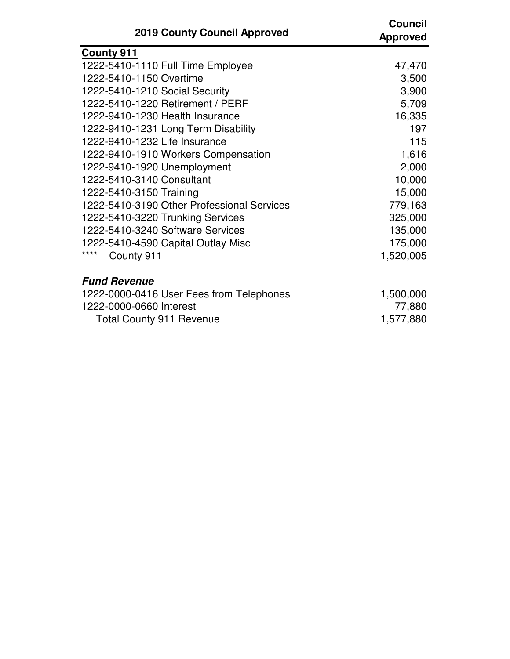| <b>2019 County Council Approved</b>        | <b>Council</b><br><b>Approved</b> |
|--------------------------------------------|-----------------------------------|
| <b>County 911</b>                          |                                   |
| 1222-5410-1110 Full Time Employee          | 47,470                            |
| 1222-5410-1150 Overtime                    | 3,500                             |
| 1222-5410-1210 Social Security             | 3,900                             |
| 1222-5410-1220 Retirement / PERF           | 5,709                             |
| 1222-9410-1230 Health Insurance            | 16,335                            |
| 1222-9410-1231 Long Term Disability        | 197                               |
| 1222-9410-1232 Life Insurance              | 115                               |
| 1222-9410-1910 Workers Compensation        | 1,616                             |
| 1222-9410-1920 Unemployment                | 2,000                             |
| 1222-5410-3140 Consultant                  | 10,000                            |
| 1222-5410-3150 Training                    | 15,000                            |
| 1222-5410-3190 Other Professional Services | 779,163                           |
| 1222-5410-3220 Trunking Services           | 325,000                           |
| 1222-5410-3240 Software Services           | 135,000                           |
| 1222-5410-4590 Capital Outlay Misc         | 175,000                           |
| ****<br>County 911                         | 1,520,005                         |
| <b>Fund Revenue</b>                        |                                   |
| 1222-0000-0416 User Fees from Telephones   | 1,500,000                         |
| 1222-0000-0660 Interest                    | 77,880                            |
| <b>Total County 911 Revenue</b>            | 1,577,880                         |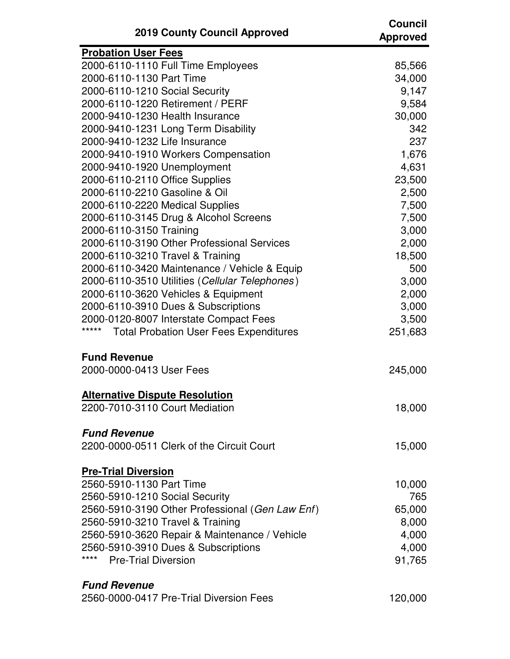| <b>2019 County Council Approved</b>                    | <b>Council</b><br><b>Approved</b> |
|--------------------------------------------------------|-----------------------------------|
| <b>Probation User Fees</b>                             |                                   |
| 2000-6110-1110 Full Time Employees                     | 85,566                            |
| 2000-6110-1130 Part Time                               | 34,000                            |
| 2000-6110-1210 Social Security                         | 9,147                             |
| 2000-6110-1220 Retirement / PERF                       | 9,584                             |
| 2000-9410-1230 Health Insurance                        | 30,000                            |
| 2000-9410-1231 Long Term Disability                    | 342                               |
| 2000-9410-1232 Life Insurance                          | 237                               |
| 2000-9410-1910 Workers Compensation                    | 1,676                             |
| 2000-9410-1920 Unemployment                            | 4,631                             |
| 2000-6110-2110 Office Supplies                         | 23,500                            |
| 2000-6110-2210 Gasoline & Oil                          | 2,500                             |
| 2000-6110-2220 Medical Supplies                        | 7,500                             |
| 2000-6110-3145 Drug & Alcohol Screens                  | 7,500                             |
| 2000-6110-3150 Training                                | 3,000                             |
| 2000-6110-3190 Other Professional Services             | 2,000                             |
| 2000-6110-3210 Travel & Training                       | 18,500                            |
| 2000-6110-3420 Maintenance / Vehicle & Equip           | 500                               |
| 2000-6110-3510 Utilities (Cellular Telephones)         | 3,000                             |
| 2000-6110-3620 Vehicles & Equipment                    | 2,000                             |
| 2000-6110-3910 Dues & Subscriptions                    | 3,000                             |
| 2000-0120-8007 Interstate Compact Fees                 | 3,500                             |
| *****<br><b>Total Probation User Fees Expenditures</b> | 251,683                           |
| <b>Fund Revenue</b>                                    |                                   |
| 2000-0000-0413 User Fees                               | 245,000                           |
| <b>Alternative Dispute Resolution</b>                  |                                   |
| 2200-7010-3110 Court Mediation                         | 18,000                            |
|                                                        |                                   |
| <b>Fund Revenue</b>                                    |                                   |
| 2200-0000-0511 Clerk of the Circuit Court              | 15,000                            |
| <b>Pre-Trial Diversion</b>                             |                                   |
| 2560-5910-1130 Part Time                               | 10,000                            |
| 2560-5910-1210 Social Security                         | 765                               |
| 2560-5910-3190 Other Professional (Gen Law Enf)        | 65,000                            |
| 2560-5910-3210 Travel & Training                       | 8,000                             |
| 2560-5910-3620 Repair & Maintenance / Vehicle          | 4,000                             |
| 2560-5910-3910 Dues & Subscriptions                    | 4,000                             |
| ****<br><b>Pre-Trial Diversion</b>                     | 91,765                            |
| <b>Fund Revenue</b>                                    |                                   |
| 2560-0000-0417 Pre-Trial Diversion Fees                | 120,000                           |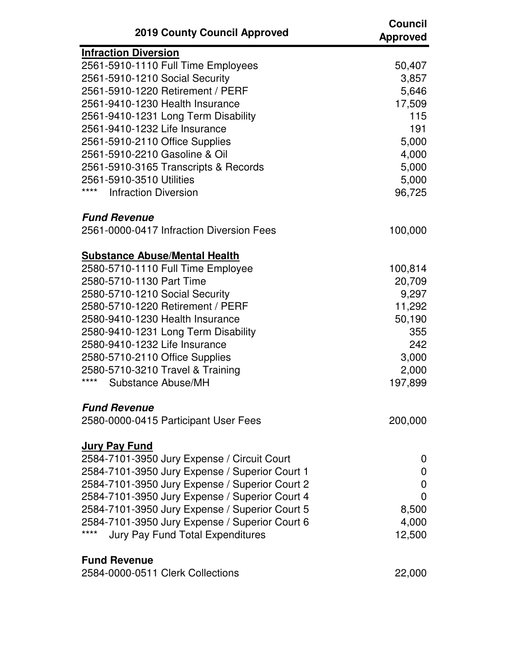| <b>2019 County Council Approved</b>             | <b>Council</b><br><b>Approved</b> |
|-------------------------------------------------|-----------------------------------|
| <b>Infraction Diversion</b>                     |                                   |
| 2561-5910-1110 Full Time Employees              | 50,407                            |
| 2561-5910-1210 Social Security                  | 3,857                             |
| 2561-5910-1220 Retirement / PERF                | 5,646                             |
| 2561-9410-1230 Health Insurance                 | 17,509                            |
| 2561-9410-1231 Long Term Disability             | 115                               |
| 2561-9410-1232 Life Insurance                   | 191                               |
| 2561-5910-2110 Office Supplies                  | 5,000                             |
| 2561-5910-2210 Gasoline & Oil                   | 4,000                             |
| 2561-5910-3165 Transcripts & Records            | 5,000                             |
| 2561-5910-3510 Utilities                        | 5,000                             |
| ****<br><b>Infraction Diversion</b>             | 96,725                            |
| <b>Fund Revenue</b>                             |                                   |
| 2561-0000-0417 Infraction Diversion Fees        | 100,000                           |
| <b>Substance Abuse/Mental Health</b>            |                                   |
| 2580-5710-1110 Full Time Employee               | 100,814                           |
| 2580-5710-1130 Part Time                        | 20,709                            |
| 2580-5710-1210 Social Security                  | 9,297                             |
| 2580-5710-1220 Retirement / PERF                | 11,292                            |
| 2580-9410-1230 Health Insurance                 | 50,190                            |
| 2580-9410-1231 Long Term Disability             | 355                               |
| 2580-9410-1232 Life Insurance                   | 242                               |
| 2580-5710-2110 Office Supplies                  | 3,000                             |
| 2580-5710-3210 Travel & Training                | 2,000                             |
| ****<br>Substance Abuse/MH                      | 197,899                           |
| <b>Fund Revenue</b>                             |                                   |
| 2580-0000-0415 Participant User Fees            | 200,000                           |
|                                                 |                                   |
| <b>Jury Pay Fund</b>                            |                                   |
| 2584-7101-3950 Jury Expense / Circuit Court     | 0                                 |
| 2584-7101-3950 Jury Expense / Superior Court 1  | 0                                 |
| 2584-7101-3950 Jury Expense / Superior Court 2  | 0                                 |
| 2584-7101-3950 Jury Expense / Superior Court 4  | 0                                 |
| 2584-7101-3950 Jury Expense / Superior Court 5  | 8,500                             |
| 2584-7101-3950 Jury Expense / Superior Court 6  | 4,000                             |
| ****<br><b>Jury Pay Fund Total Expenditures</b> | 12,500                            |
| <b>Fund Revenue</b>                             |                                   |
| 2584-0000-0511 Clerk Collections                | 22,000                            |
|                                                 |                                   |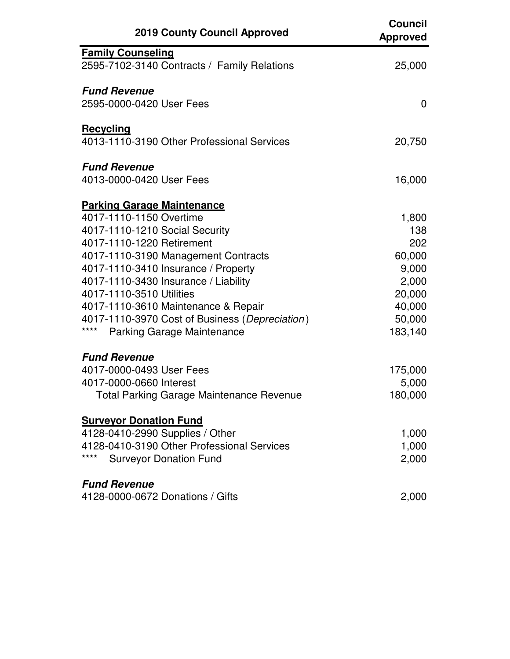| <b>2019 County Council Approved</b>                    | <b>Council</b><br><b>Approved</b> |
|--------------------------------------------------------|-----------------------------------|
| <b>Family Counseling</b>                               |                                   |
| 2595-7102-3140 Contracts / Family Relations            | 25,000                            |
| <b>Fund Revenue</b>                                    |                                   |
| 2595-0000-0420 User Fees                               | $\mathbf{0}$                      |
| <b>Recycling</b>                                       |                                   |
| 4013-1110-3190 Other Professional Services             | 20,750                            |
| <b>Fund Revenue</b>                                    |                                   |
| 4013-0000-0420 User Fees                               | 16,000                            |
| <b>Parking Garage Maintenance</b>                      |                                   |
| 4017-1110-1150 Overtime                                | 1,800                             |
| 4017-1110-1210 Social Security                         | 138                               |
| 4017-1110-1220 Retirement                              | 202                               |
| 4017-1110-3190 Management Contracts                    | 60,000                            |
| 4017-1110-3410 Insurance / Property                    | 9,000                             |
| 4017-1110-3430 Insurance / Liability                   | 2,000                             |
| 4017-1110-3510 Utilities                               | 20,000                            |
| 4017-1110-3610 Maintenance & Repair                    | 40,000                            |
| 4017-1110-3970 Cost of Business (Depreciation)<br>**** | 50,000                            |
| Parking Garage Maintenance                             | 183,140                           |
| <b>Fund Revenue</b>                                    |                                   |
| 4017-0000-0493 User Fees                               | 175,000                           |
| 4017-0000-0660 Interest                                | 5,000                             |
| <b>Total Parking Garage Maintenance Revenue</b>        | 180,000                           |
| <b>Surveyor Donation Fund</b>                          |                                   |
| 4128-0410-2990 Supplies / Other                        | 1,000                             |
| 4128-0410-3190 Other Professional Services             | 1,000                             |
| ****<br><b>Surveyor Donation Fund</b>                  | 2,000                             |
| <b>Fund Revenue</b>                                    |                                   |
| 4128-0000-0672 Donations / Gifts                       | 2,000                             |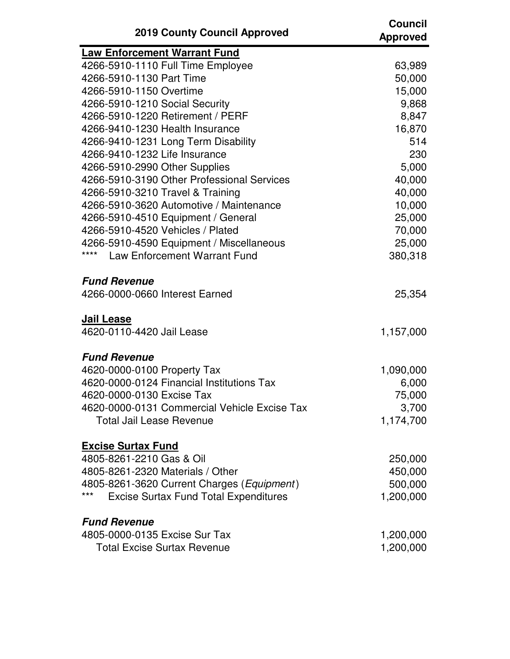| <b>2019 County Council Approved</b>                   | <b>Council</b><br><b>Approved</b> |
|-------------------------------------------------------|-----------------------------------|
| <b>Law Enforcement Warrant Fund</b>                   |                                   |
| 4266-5910-1110 Full Time Employee                     | 63,989                            |
| 4266-5910-1130 Part Time                              | 50,000                            |
| 4266-5910-1150 Overtime                               | 15,000                            |
| 4266-5910-1210 Social Security                        | 9,868                             |
| 4266-5910-1220 Retirement / PERF                      | 8,847                             |
| 4266-9410-1230 Health Insurance                       | 16,870                            |
| 4266-9410-1231 Long Term Disability                   | 514                               |
| 4266-9410-1232 Life Insurance                         | 230                               |
| 4266-5910-2990 Other Supplies                         | 5,000                             |
| 4266-5910-3190 Other Professional Services            | 40,000                            |
| 4266-5910-3210 Travel & Training                      | 40,000                            |
| 4266-5910-3620 Automotive / Maintenance               | 10,000                            |
| 4266-5910-4510 Equipment / General                    | 25,000                            |
| 4266-5910-4520 Vehicles / Plated                      | 70,000                            |
| 4266-5910-4590 Equipment / Miscellaneous              | 25,000                            |
| ****<br><b>Law Enforcement Warrant Fund</b>           | 380,318                           |
| <b>Fund Revenue</b><br>4266-0000-0660 Interest Earned | 25,354                            |
| <b>Jail Lease</b><br>4620-0110-4420 Jail Lease        | 1,157,000                         |
| <b>Fund Revenue</b>                                   |                                   |
| 4620-0000-0100 Property Tax                           | 1,090,000                         |
| 4620-0000-0124 Financial Institutions Tax             | 6,000                             |
| 4620-0000-0130 Excise Tax                             | 75,000                            |
| 4620-0000-0131 Commercial Vehicle Excise Tax          | 3,700                             |
| <b>Total Jail Lease Revenue</b>                       | 1,174,700                         |
| <b>Excise Surtax Fund</b>                             |                                   |
| 4805-8261-2210 Gas & Oil                              | 250,000                           |
| 4805-8261-2320 Materials / Other                      | 450,000                           |
| 4805-8261-3620 Current Charges (Equipment)            | 500,000                           |
| ***<br><b>Excise Surtax Fund Total Expenditures</b>   | 1,200,000                         |
| <b>Fund Revenue</b>                                   |                                   |
| 4805-0000-0135 Excise Sur Tax                         | 1,200,000                         |
| <b>Total Excise Surtax Revenue</b>                    | 1,200,000                         |
|                                                       |                                   |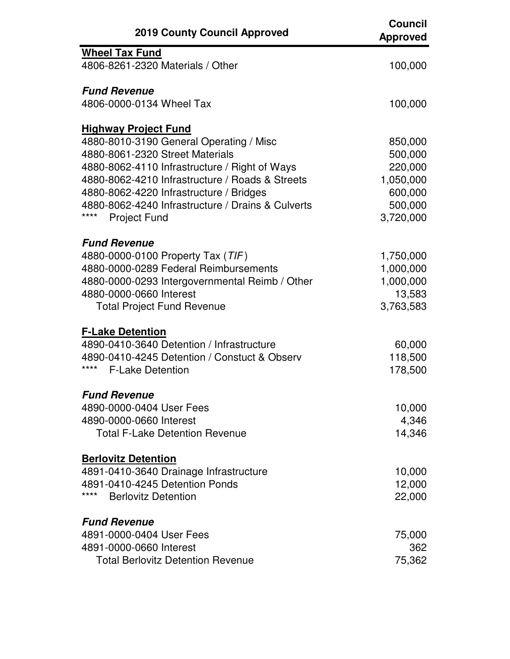| <b>2019 County Council Approved</b>                       | <b>Council</b><br><b>Approved</b> |
|-----------------------------------------------------------|-----------------------------------|
| <b>Wheel Tax Fund</b>                                     |                                   |
| 4806-8261-2320 Materials / Other                          | 100,000                           |
| <b>Fund Revenue</b>                                       |                                   |
| 4806-0000-0134 Wheel Tax                                  | 100,000                           |
| <b>Highway Project Fund</b>                               |                                   |
| 4880-8010-3190 General Operating / Misc                   | 850,000                           |
| 4880-8061-2320 Street Materials                           | 500,000                           |
| 4880-8062-4110 Infrastructure / Right of Ways             | 220,000                           |
| 4880-8062-4210 Infrastructure / Roads & Streets           | 1,050,000                         |
| 4880-8062-4220 Infrastructure / Bridges                   | 600,000                           |
| 4880-8062-4240 Infrastructure / Drains & Culverts<br>**** | 500,000                           |
| <b>Project Fund</b>                                       | 3,720,000                         |
| <b>Fund Revenue</b>                                       |                                   |
| 4880-0000-0100 Property Tax (TIF)                         | 1,750,000                         |
| 4880-0000-0289 Federal Reimbursements                     | 1,000,000                         |
| 4880-0000-0293 Intergovernmental Reimb / Other            | 1,000,000                         |
| 4880-0000-0660 Interest                                   | 13,583                            |
| <b>Total Project Fund Revenue</b>                         | 3,763,583                         |
| <b>F-Lake Detention</b>                                   |                                   |
| 4890-0410-3640 Detention / Infrastructure                 | 60,000                            |
| 4890-0410-4245 Detention / Constuct & Observ              | 118,500                           |
| ****<br><b>F-Lake Detention</b>                           | 178,500                           |
| <b>Fund Revenue</b>                                       |                                   |
| 4890-0000-0404 User Fees                                  | 10,000                            |
| 4890-0000-0660 Interest                                   | 4,346                             |
| <b>Total F-Lake Detention Revenue</b>                     | 14,346                            |
| <b>Berlovitz Detention</b>                                |                                   |
| 4891-0410-3640 Drainage Infrastructure                    | 10,000                            |
| 4891-0410-4245 Detention Ponds                            | 12,000                            |
| ****<br><b>Berlovitz Detention</b>                        | 22,000                            |
| <b>Fund Revenue</b>                                       |                                   |
| 4891-0000-0404 User Fees                                  | 75,000                            |
| 4891-0000-0660 Interest                                   | 362                               |
| <b>Total Berlovitz Detention Revenue</b>                  | 75,362                            |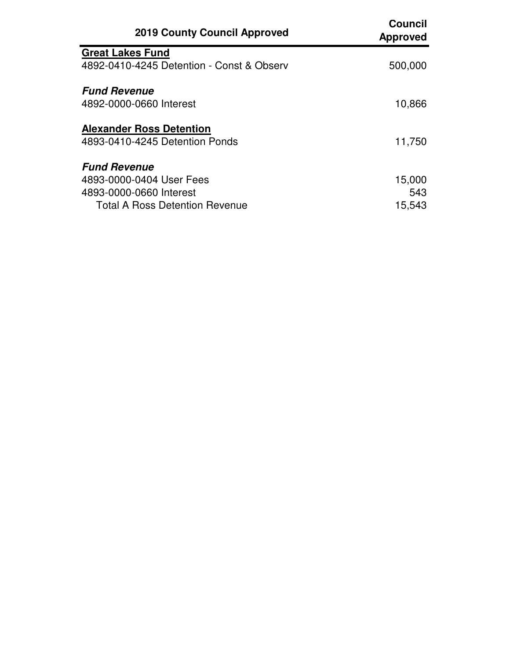| <b>2019 County Council Approved</b>       | <b>Council</b><br><b>Approved</b> |
|-------------------------------------------|-----------------------------------|
| <b>Great Lakes Fund</b>                   |                                   |
| 4892-0410-4245 Detention - Const & Observ | 500,000                           |
| <b>Fund Revenue</b>                       |                                   |
| 4892-0000-0660 Interest                   | 10,866                            |
| <b>Alexander Ross Detention</b>           |                                   |
| 4893-0410-4245 Detention Ponds            | 11,750                            |
| <b>Fund Revenue</b>                       |                                   |
| 4893-0000-0404 User Fees                  | 15,000                            |
| 4893-0000-0660 Interest                   | 543                               |
| <b>Total A Ross Detention Revenue</b>     | 15,543                            |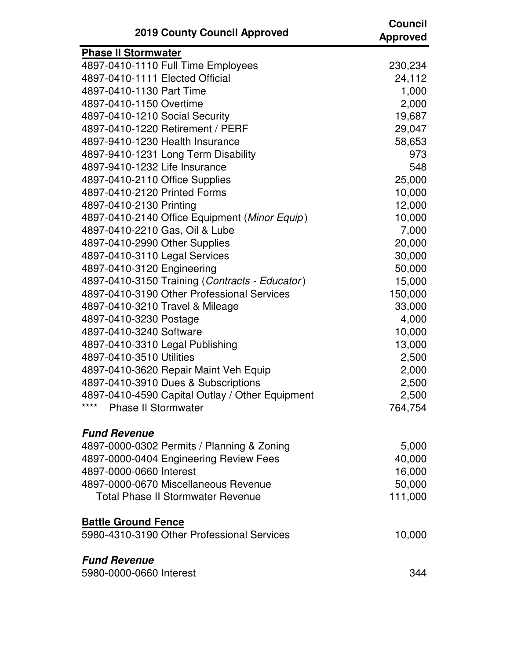| <b>2019 County Council Approved</b>                     | <b>Council</b><br><b>Approved</b> |
|---------------------------------------------------------|-----------------------------------|
| <b>Phase II Stormwater</b>                              |                                   |
| 4897-0410-1110 Full Time Employees                      | 230,234                           |
| 4897-0410-1111 Elected Official                         | 24,112                            |
| 4897-0410-1130 Part Time                                | 1,000                             |
| 4897-0410-1150 Overtime                                 | 2,000                             |
| 4897-0410-1210 Social Security                          | 19,687                            |
| 4897-0410-1220 Retirement / PERF                        | 29,047                            |
| 4897-9410-1230 Health Insurance                         | 58,653                            |
| 4897-9410-1231 Long Term Disability                     | 973                               |
| 4897-9410-1232 Life Insurance                           | 548                               |
| 4897-0410-2110 Office Supplies                          | 25,000                            |
| 4897-0410-2120 Printed Forms                            | 10,000                            |
| 4897-0410-2130 Printing                                 | 12,000                            |
| 4897-0410-2140 Office Equipment (Minor Equip)           | 10,000                            |
| 4897-0410-2210 Gas, Oil & Lube                          | 7,000                             |
| 4897-0410-2990 Other Supplies                           | 20,000                            |
| 4897-0410-3110 Legal Services                           | 30,000                            |
| 4897-0410-3120 Engineering                              | 50,000                            |
| 4897-0410-3150 Training (Contracts - Educator)          | 15,000                            |
| 4897-0410-3190 Other Professional Services              | 150,000                           |
| 4897-0410-3210 Travel & Mileage                         | 33,000                            |
| 4897-0410-3230 Postage                                  | 4,000                             |
| 4897-0410-3240 Software                                 | 10,000                            |
| 4897-0410-3310 Legal Publishing                         | 13,000                            |
| 4897-0410-3510 Utilities                                | 2,500                             |
| 4897-0410-3620 Repair Maint Veh Equip                   | 2,000                             |
| 4897-0410-3910 Dues & Subscriptions                     | 2,500                             |
| 4897-0410-4590 Capital Outlay / Other Equipment<br>**** | 2,500                             |
| <b>Phase II Stormwater</b>                              | 764,754                           |
| <b>Fund Revenue</b>                                     |                                   |
| 4897-0000-0302 Permits / Planning & Zoning              | 5,000                             |
| 4897-0000-0404 Engineering Review Fees                  | 40,000                            |
| 4897-0000-0660 Interest                                 | 16,000                            |
| 4897-0000-0670 Miscellaneous Revenue                    | 50,000                            |
| <b>Total Phase II Stormwater Revenue</b>                | 111,000                           |
| <b>Battle Ground Fence</b>                              |                                   |
| 5980-4310-3190 Other Professional Services              | 10,000                            |
| <b>Fund Revenue</b>                                     |                                   |
| 5980-0000-0660 Interest                                 | 344                               |